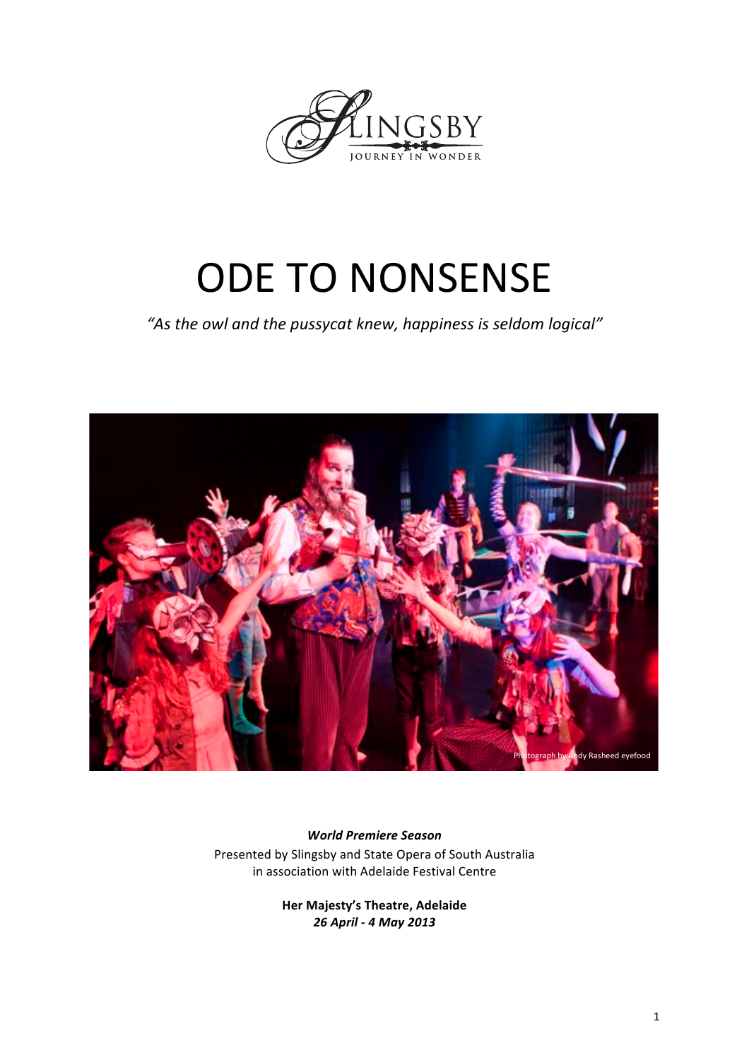

# ODE TO NONSENSE

"As the owl and the pussycat knew, happiness is seldom logical"



*World!Premiere!Season* Presented by Slingsby and State Opera of South Australia in association with Adelaide Festival Centre

> **Her Majesty's Theatre, Adelaide** *26!April!3 4!May!2013*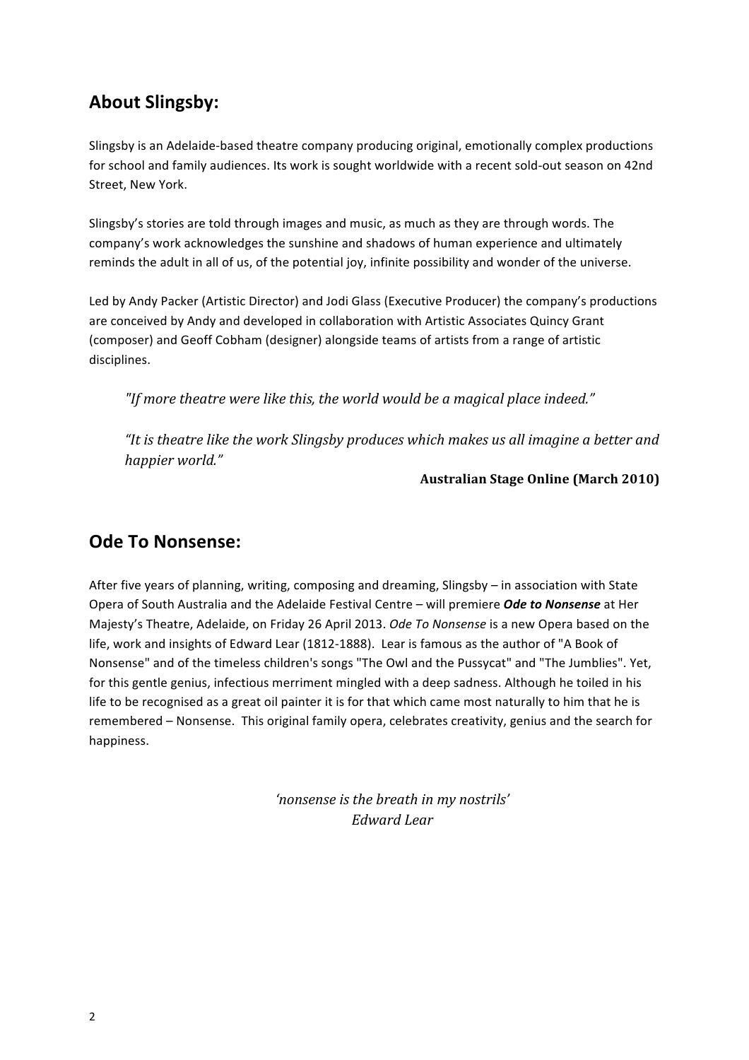# **About Slingsby:**

Slingsby is an Adelaide-based theatre company producing original, emotionally complex productions for school and family audiences. Its work is sought worldwide with a recent sold-out season on 42nd Street, New York.

Slingsby's stories are told through images and music, as much as they are through words. The company's work acknowledges the sunshine and shadows of human experience and ultimately reminds the adult in all of us, of the potential joy, infinite possibility and wonder of the universe.

Led by Andy Packer (Artistic Director) and Jodi Glass (Executive Producer) the company's productions are conceived by Andy and developed in collaboration with Artistic Associates Quincy Grant (composer) and Geoff Cobham (designer) alongside teams of artists from a range of artistic disciplines.

"If more theatre were like this, the world would be a magical place indeed."

"It is theatre like the work Slingsby produces which makes us all imagine a better and *happier\$world."*

#### Australian Stage Online (March 2010)

## **Ode\$To\$Nonsense:**

After five years of planning, writing, composing and dreaming, Slingsby – in association with State Opera of South Australia and the Adelaide Festival Centre – will premiere *Ode to Nonsense* at Her Majesty's Theatre, Adelaide, on Friday 26 April 2013. Ode To Nonsense is a new Opera based on the life, work and insights of Edward Lear (1812-1888). Lear is famous as the author of "A Book of Nonsense" and of the timeless children's songs "The Owl and the Pussycat" and "The Jumblies". Yet, for this gentle genius, infectious merriment mingled with a deep sadness. Although he toiled in his life to be recognised as a great oil painter it is for that which came most naturally to him that he is remembered – Nonsense. This original family opera, celebrates creativity, genius and the search for happiness.

> 'nonsense is the breath in my nostrils' *Edward\$Lear*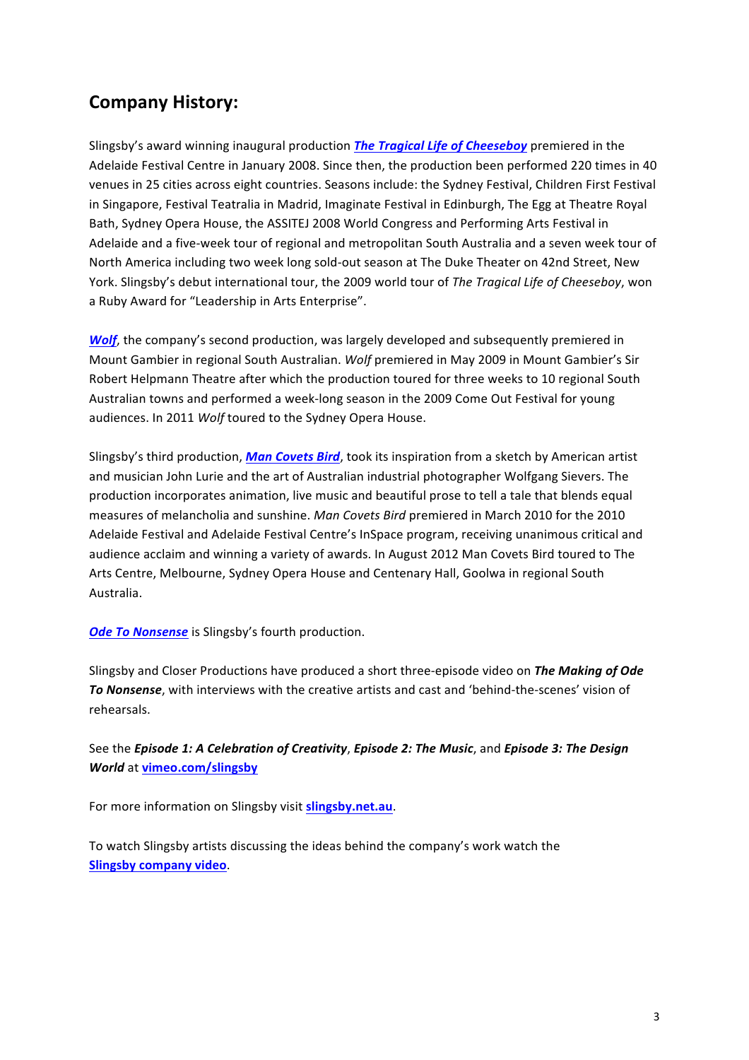# **Company History:**

Slingsby's award winning inaugural production *The Tragical Life of Cheeseboy* premiered in the Adelaide Festival Centre in January 2008. Since then, the production been performed 220 times in 40 venues in 25 cities across eight countries. Seasons include: the Sydney Festival, Children First Festival in Singapore, Festival Teatralia in Madrid, Imaginate Festival in Edinburgh, The Egg at Theatre Royal Bath, Sydney Opera House, the ASSITEJ 2008 World Congress and Performing Arts Festival in Adelaide and a five-week tour of regional and metropolitan South Australia and a seven week tour of North America including two week long sold-out season at The Duke Theater on 42nd Street, New York. Slingsby's debut international tour, the 2009 world tour of The Tragical Life of Cheeseboy, won a Ruby Award for "Leadership in Arts Enterprise".

*Wolf*, the company's second production, was largely developed and subsequently premiered in Mount Gambier in regional South Australian. *Wolf* premiered in May 2009 in Mount Gambier's Sir Robert Helpmann Theatre after which the production toured for three weeks to 10 regional South Australian towns and performed a week-long season in the 2009 Come Out Festival for young audiences. In 2011 Wolf toured to the Sydney Opera House.

Slingsby's third production, *Man Covets Bird*, took its inspiration from a sketch by American artist and musician John Lurie and the art of Australian industrial photographer Wolfgang Sievers. The production incorporates animation, live music and beautiful prose to tell a tale that blends equal measures of melancholia and sunshine. *Man Covets Bird* premiered in March 2010 for the 2010 Adelaide Festival and Adelaide Festival Centre's InSpace program, receiving unanimous critical and audience acclaim and winning a variety of awards. In August 2012 Man Covets Bird toured to The Arts Centre, Melbourne, Sydney Opera House and Centenary Hall, Goolwa in regional South Australia.

**Ode To Nonsense** is Slingsby's fourth production.

Slingsby and Closer Productions have produced a short three-episode video on The Making of Ode To Nonsense, with interviews with the creative artists and cast and 'behind-the-scenes' vision of rehearsals.

See the *Episode 1: A Celebration of Creativity*, *Episode 2: The Music*, and *Episode 3: The Design* **World** at **vimeo.com/slingsby** 

For more information on Slingsby visit **slingsby.net.au**.

To watch Slingsby artists discussing the ideas behind the company's work watch the **Slingsby company video.**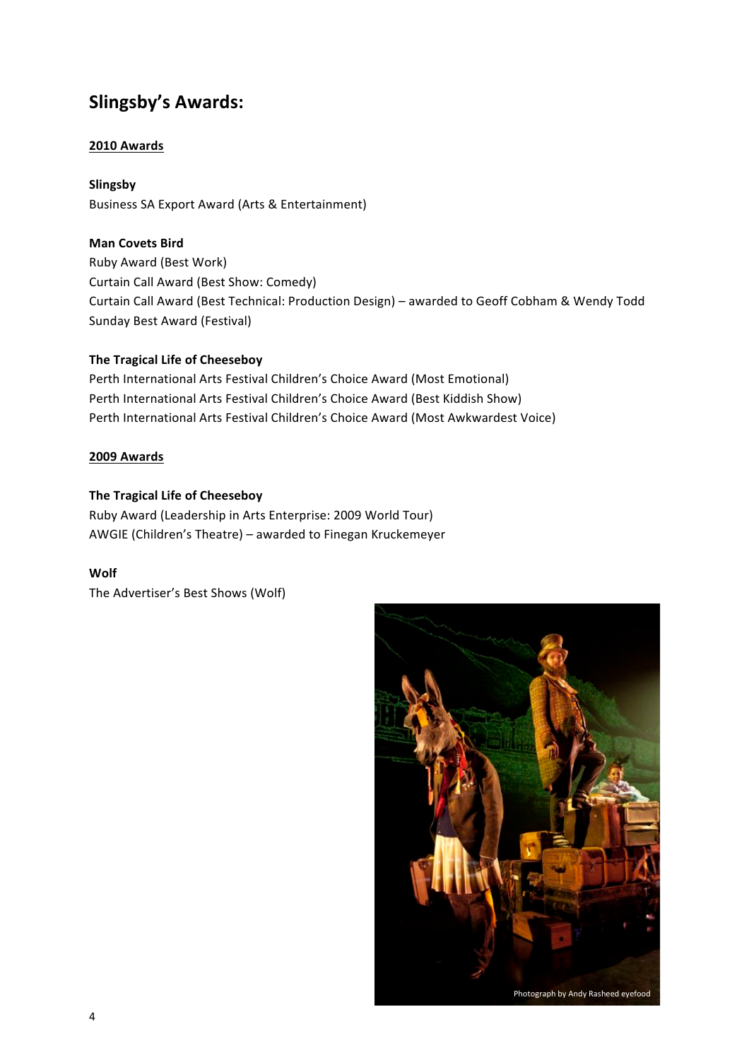# **Slingsby's Awards:**

#### **2010\$Awards**

**Slingsby** Business SA Export Award (Arts & Entertainment)

#### **Man Covets Bird**

Ruby Award (Best Work) Curtain Call Award (Best Show: Comedy) Curtain Call Award (Best Technical: Production Design) – awarded to Geoff Cobham & Wendy Todd Sunday Best Award (Festival)

#### **The Tragical Life of Cheeseboy**

Perth International Arts Festival Children's Choice Award (Most Emotional) Perth International Arts Festival Children's Choice Award (Best Kiddish Show) Perth International Arts Festival Children's Choice Award (Most Awkwardest Voice)

#### **2009\$Awards**

#### **The Tragical Life of Cheeseboy**

Ruby Award (Leadership in Arts Enterprise: 2009 World Tour) AWGIE (Children's Theatre) – awarded to Finegan Kruckemeyer

#### **Wolf**

The Advertiser's Best Shows (Wolf)

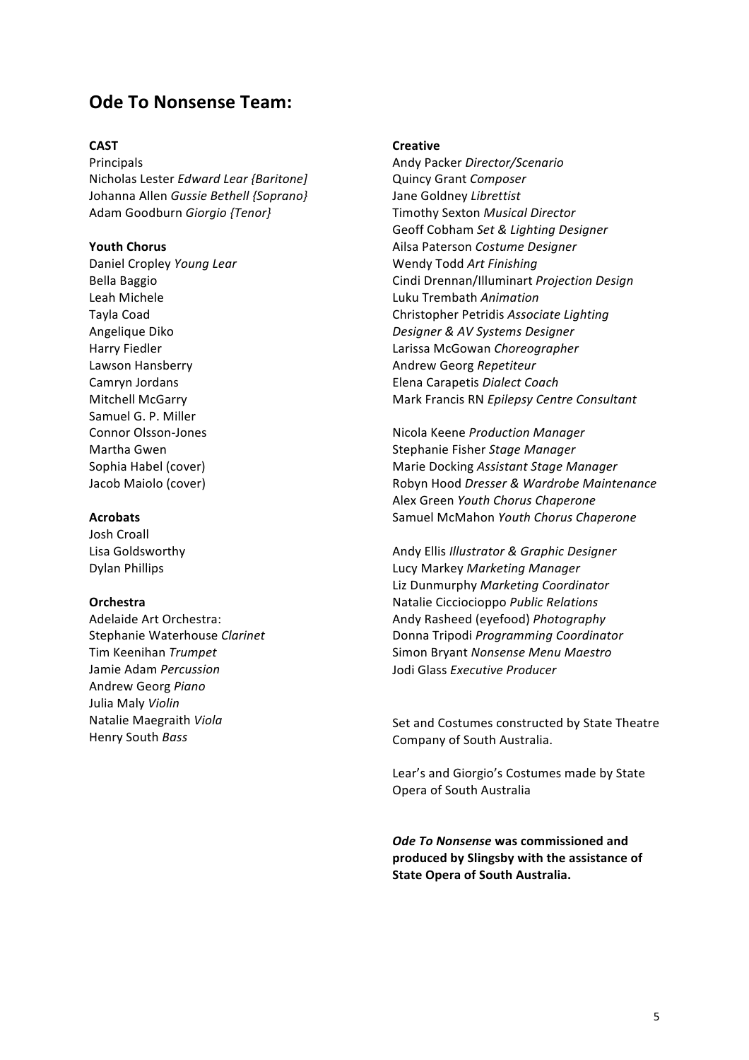## **Ode To Nonsense Team:**

#### **CAST\$**

**Principals** Nicholas Lester"*Edward\$Lear {Baritone]* Johanna"Allen"*Gussie\$Bethell {Soprano}* Adam"Goodburn"*Giorgio {Tenor}*

#### **Youth\$Chorus**

Daniel"Cropley"*Young\$Lear* Bella Baggio Leah"Michele Tayla"Coad Angelique Diko Harry Fiedler Lawson Hansberry Camryn Jordans Mitchell McGarry Samuel G. P. Miller Connor Olsson-Jones Martha Gwen Sophia Habel (cover) Jacob Maiolo (cover)

#### **Acrobats**

Josh Croall Lisa Goldsworthy Dylan Phillips

#### **Orchestra**

Adelaide Art Orchestra: Stephanie"Waterhouse"*Clarinet* Tim"Keenihan"*Trumpet* Jamie"Adam"*Percussion* Andrew"Georg"*Piano* Julia"Maly"*Violin* Natalie"Maegraith"*Viola* Henry"South"*Bass*

#### **Creative**

Andy"Packer"*Director/Scenario* Quincy"Grant"*Composer* Jane"Goldney"*Librettist* Timothy"Sexton"*Musical\$Director* Geoff"Cobham"*Set\$&\$Lighting\$Designer* Ailsa"Paterson"*Costume\$Designer* Wendy"Todd"*Art\$Finishing* Cindi"Drennan/Illuminart"*Projection\$Design* Luku"Trembath *Animation* Christopher"Petridis"*Associate\$Lighting\$* **Designer & AV Systems Designer** Larissa"McGowan"*Choreographer* Andrew"Georg"*Repetiteur\$* Elena"Carapetis"*Dialect\$Coach* Mark"Francis"RN"*Epilepsy\$Centre\$Consultant*

Nicola"Keene"*Production\$Manager* Stephanie Fisher Stage Manager Marie"Docking"*Assistant\$Stage\$Manager* Robyn"Hood *Dresser\$&\$Wardrobe\$Maintenance* Alex"Green"*Youth\$Chorus\$Chaperone* Samuel"McMahon"*Youth\$Chorus\$Chaperone*

Andy"Ellis"*Illustrator\$&\$Graphic\$Designer* Lucy"Markey"*Marketing\$Manager* Liz"Dunmurphy"*Marketing\$Coordinator* Natalie"Cicciocioppo"*Public\$Relations* Andy"Rasheed"(eyefood)"*Photography* Donna"Tripodi"*Programming\$Coordinator* Simon"Bryant *Nonsense\$Menu\$Maestro* Jodi"Glass"*Executive\$Producer*

Set and Costumes constructed by State Theatre Company of South Australia.

Lear's and Giorgio's Costumes made by State Opera of South Australia

**Ode To Nonsense was commissioned and** produced by Slingsby with the assistance of **State Opera of South Australia.**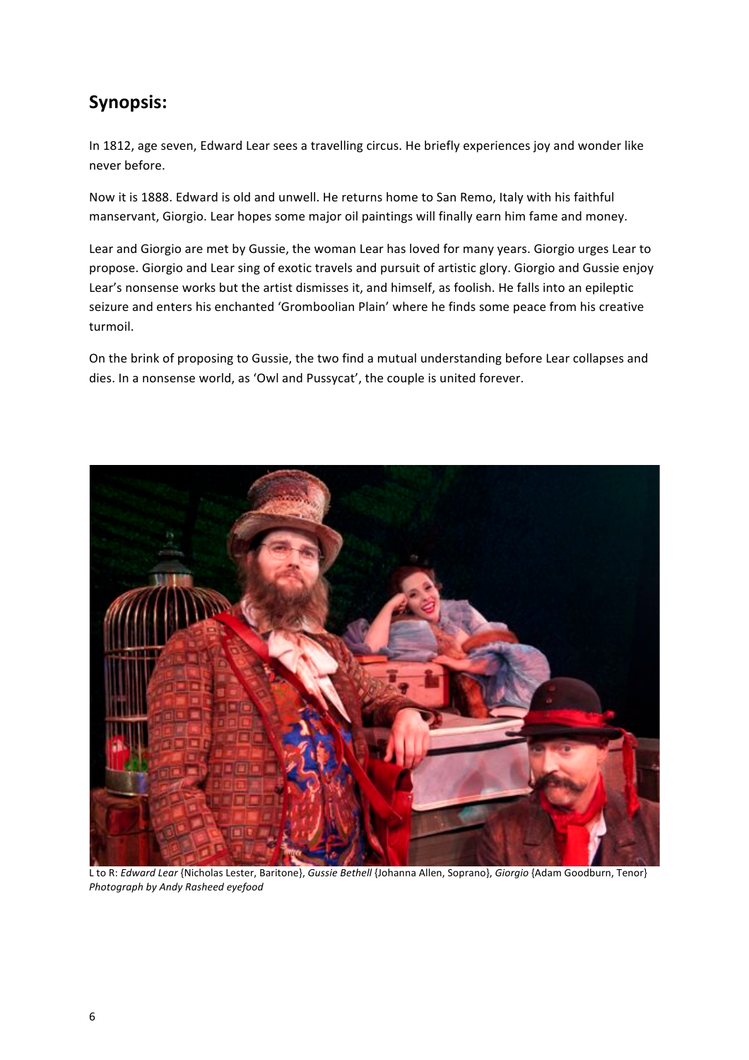# **Synopsis:**

In 1812, age seven, Edward Lear sees a travelling circus. He briefly experiences joy and wonder like never before.

Now it is 1888. Edward is old and unwell. He returns home to San Remo, Italy with his faithful manservant, Giorgio. Lear hopes some major oil paintings will finally earn him fame and money.

Lear and Giorgio are met by Gussie, the woman Lear has loved for many years. Giorgio urges Lear to propose. Giorgio and Lear sing of exotic travels and pursuit of artistic glory. Giorgio and Gussie enjoy Lear's nonsense works but the artist dismisses it, and himself, as foolish. He falls into an epileptic seizure and enters his enchanted 'Gromboolian Plain' where he finds some peace from his creative turmoil.

On the brink of proposing to Gussie, the two find a mutual understanding before Lear collapses and dies. In a nonsense world, as 'Owl and Pussycat', the couple is united forever.



L to R: *Edward Lear* {Nicholas Lester, Baritone}, *Gussie Bethell* {Johanna Allen, Soprano}, *Giorgio* {Adam Goodburn, Tenor} **Photograph by Andy Rasheed eyefood**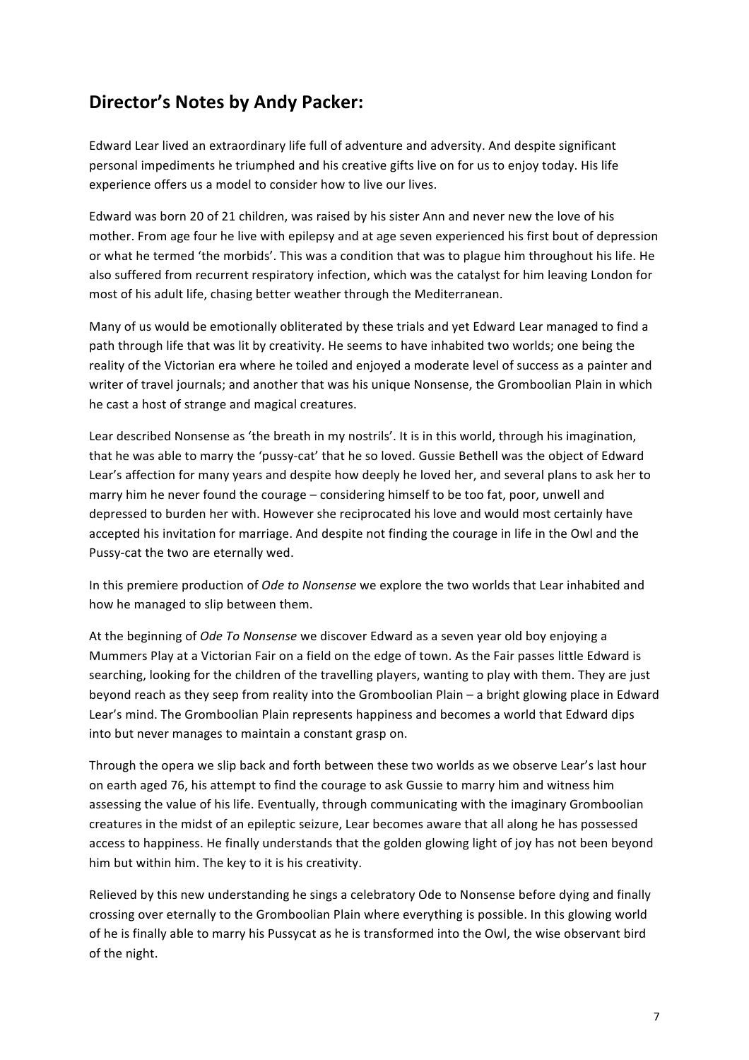# **Director's Notes by Andy Packer:**

Edward Lear lived an extraordinary life full of adventure and adversity. And despite significant personal impediments he triumphed and his creative gifts live on for us to enjoy today. His life experience offers us a model to consider how to live our lives.

Edward was born 20 of 21 children, was raised by his sister Ann and never new the love of his mother. From age four he live with epilepsy and at age seven experienced his first bout of depression or what he termed 'the morbids'. This was a condition that was to plague him throughout his life. He also suffered from recurrent respiratory infection, which was the catalyst for him leaving London for most of his adult life, chasing better weather through the Mediterranean.

Many of us would be emotionally obliterated by these trials and yet Edward Lear managed to find a path through life that was lit by creativity. He seems to have inhabited two worlds; one being the reality of the Victorian era where he toiled and enjoyed a moderate level of success as a painter and writer of travel journals; and another that was his unique Nonsense, the Gromboolian Plain in which he cast a host of strange and magical creatures.

Lear described Nonsense as 'the breath in my nostrils'. It is in this world, through his imagination, that he was able to marry the 'pussy-cat' that he so loved. Gussie Bethell was the object of Edward Lear's affection for many years and despite how deeply he loved her, and several plans to ask her to marry him he never found the courage – considering himself to be too fat, poor, unwell and depressed to burden her with. However she reciprocated his love and would most certainly have accepted his invitation for marriage. And despite not finding the courage in life in the Owl and the Pussy-cat the two are eternally wed.

In this premiere production of *Ode to Nonsense* we explore the two worlds that Lear inhabited and how he managed to slip between them.

At the beginning of *Ode To Nonsense* we discover Edward as a seven year old boy enjoying a Mummers Play at a Victorian Fair on a field on the edge of town. As the Fair passes little Edward is searching, looking for the children of the travelling players, wanting to play with them. They are just beyond reach as they seep from reality into the Gromboolian Plain – a bright glowing place in Edward Lear's mind. The Gromboolian Plain represents happiness and becomes a world that Edward dips into but never manages to maintain a constant grasp on.

Through the opera we slip back and forth between these two worlds as we observe Lear's last hour on earth aged 76, his attempt to find the courage to ask Gussie to marry him and witness him assessing the value of his life. Eventually, through communicating with the imaginary Gromboolian creatures in the midst of an epileptic seizure, Lear becomes aware that all along he has possessed access to happiness. He finally understands that the golden glowing light of joy has not been beyond him but within him. The key to it is his creativity.

Relieved by this new understanding he sings a celebratory Ode to Nonsense before dying and finally crossing over eternally to the Gromboolian Plain where everything is possible. In this glowing world of he is finally able to marry his Pussycat as he is transformed into the Owl, the wise observant bird of the night.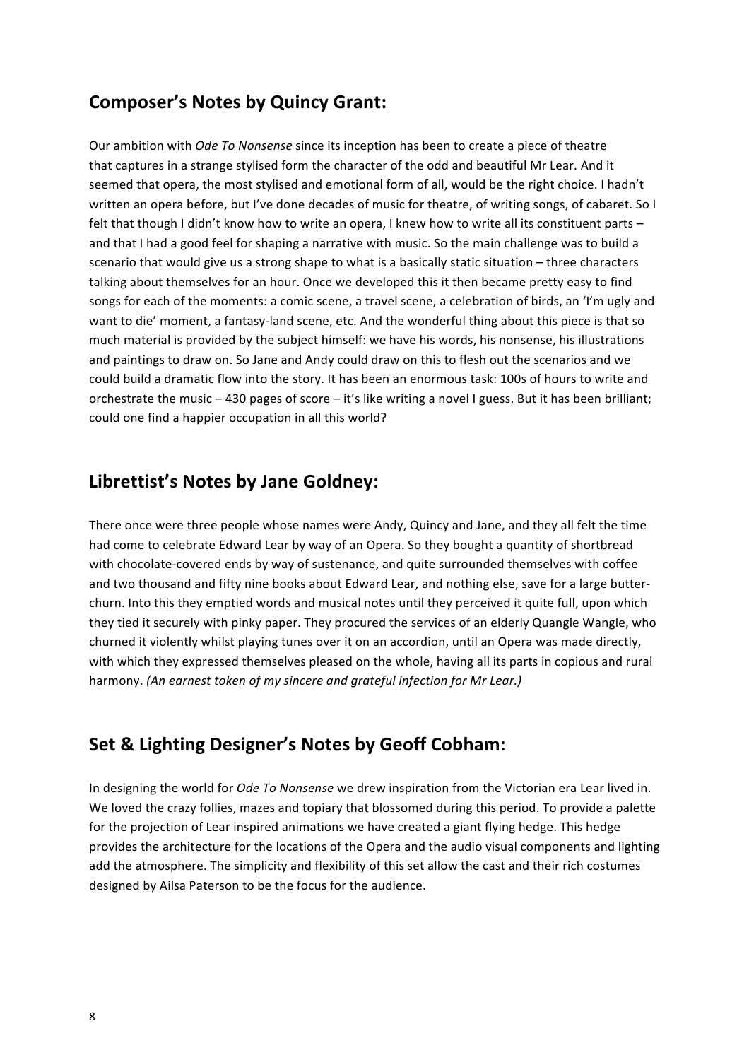## **Composer's Notes by Quincy Grant:**

Our ambition with *Ode To Nonsense* since its inception has been to create a piece of theatre that captures in a strange stylised form the character of the odd and beautiful Mr Lear. And it seemed that opera, the most stylised and emotional form of all, would be the right choice. I hadn't written an opera before, but I've done decades of music for theatre, of writing songs, of cabaret. So I felt that though I didn't know how to write an opera, I knew how to write all its constituent parts and that I had a good feel for shaping a narrative with music. So the main challenge was to build a scenario that would give us a strong shape to what is a basically static situation – three characters talking about themselves for an hour. Once we developed this it then became pretty easy to find songs for each of the moments: a comic scene, a travel scene, a celebration of birds, an 'I'm ugly and want to die' moment, a fantasy-land scene, etc. And the wonderful thing about this piece is that so much material is provided by the subject himself: we have his words, his nonsense, his illustrations and paintings to draw on. So Jane and Andy could draw on this to flesh out the scenarios and we could build a dramatic flow into the story. It has been an enormous task: 100s of hours to write and orchestrate the music – 430 pages of score – it's like writing a novel I guess. But it has been brilliant; could one find a happier occupation in all this world?

## **Librettist's Notes by Jane Goldney:**

There once were three people whose names were Andy, Quincy and Jane, and they all felt the time had come to celebrate Edward Lear by way of an Opera. So they bought a quantity of shortbread with chocolate-covered ends by way of sustenance, and quite surrounded themselves with coffee and two thousand and fifty nine books about Edward Lear, and nothing else, save for a large butterchurn. Into this they emptied words and musical notes until they perceived it quite full, upon which they tied it securely with pinky paper. They procured the services of an elderly Quangle Wangle, who churned it violently whilst playing tunes over it on an accordion, until an Opera was made directly, with which they expressed themselves pleased on the whole, having all its parts in copious and rural harmony. (An earnest token of my sincere and grateful infection for Mr Lear.)

## **Set & Lighting Designer's Notes by Geoff Cobham:**

In designing the world for *Ode To Nonsense* we drew inspiration from the Victorian era Lear lived in. We loved the crazy follies, mazes and topiary that blossomed during this period. To provide a palette for the projection of Lear inspired animations we have created a giant flying hedge. This hedge provides the architecture for the locations of the Opera and the audio visual components and lighting add the atmosphere. The simplicity and flexibility of this set allow the cast and their rich costumes designed by Ailsa Paterson to be the focus for the audience.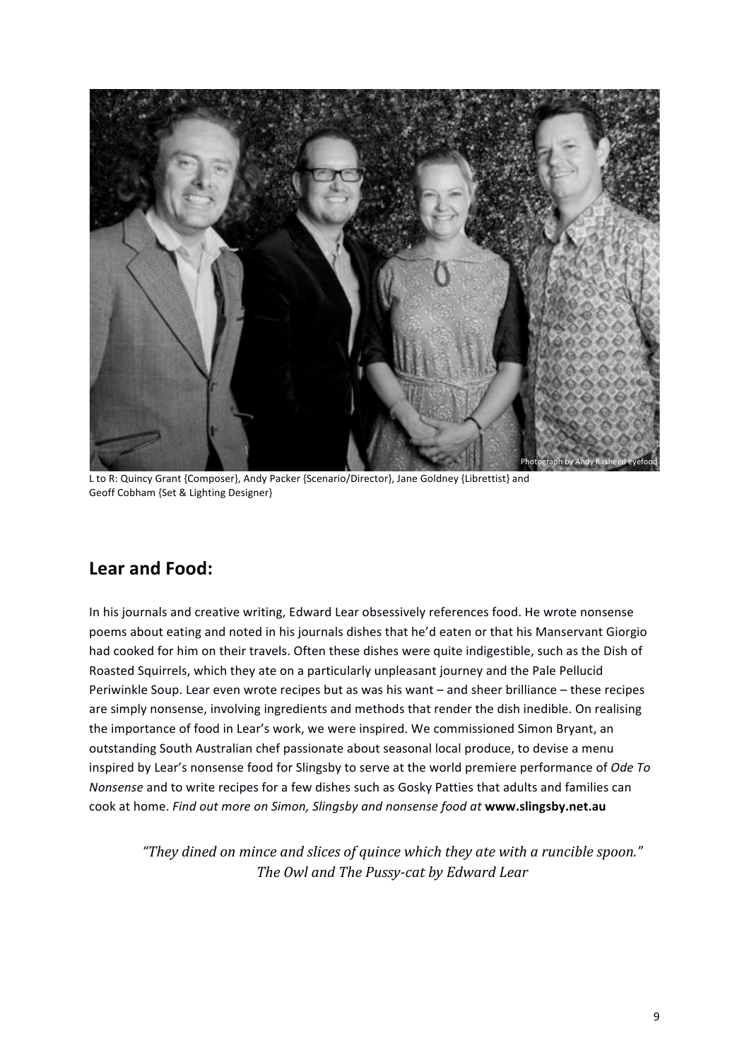

L to R: Quincy Grant {Composer}, Andy Packer {Scenario/Director}, Jane Goldney {Librettist} and Geoff Cobham {Set & Lighting Designer}

# Lear and **Food**:

In his journals and creative writing, Edward Lear obsessively references food. He wrote nonsense poems about eating and noted in his journals dishes that he'd eaten or that his Manservant Giorgio had cooked for him on their travels. Often these dishes were quite indigestible, such as the Dish of Roasted Squirrels, which they ate on a particularly unpleasant journey and the Pale Pellucid Periwinkle Soup. Lear even wrote recipes but as was his want – and sheer brilliance – these recipes are simply nonsense, involving ingredients and methods that render the dish inedible. On realising the importance of food in Lear's work, we were inspired. We commissioned Simon Bryant, an outstanding South Australian chef passionate about seasonal local produce, to devise a menu inspired by Lear's nonsense food for Slingsby to serve at the world premiere performance of Ode To *Nonsense* and to write recipes for a few dishes such as Gosky Patties that adults and families can cook"at"home."*Find\$out\$more\$on\$Simon,\$Slingsby\$and\$nonsense\$food\$at\$***www.slingsby.net.au**

*"They\$dined\$on\$mince\$and\$slices\$of\$quince\$which\$they\$ate\$with\$a\$runcible\$spoon."* **The Owl and The Pussy-cat by Edward Lear**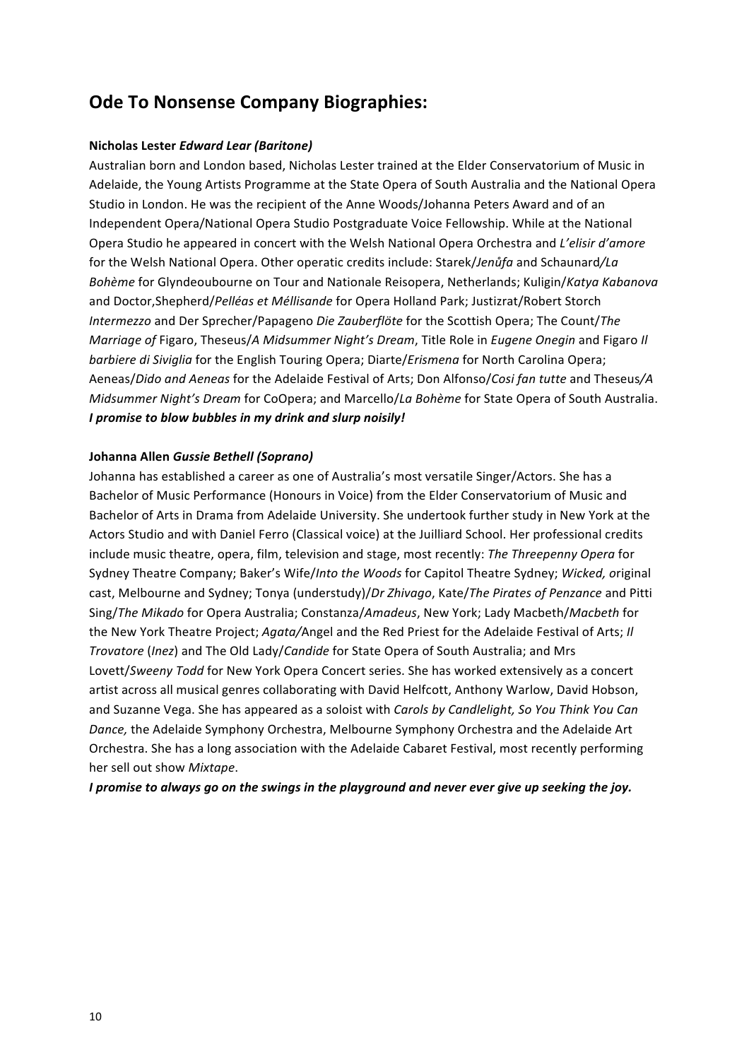## **Ode To Nonsense Company Biographies:**

#### **Nicholas\$Lester\$***Edward!Lear!(Baritone)*

Australian born and London based, Nicholas Lester trained at the Elder Conservatorium of Music in Adelaide, the Young Artists Programme at the State Opera of South Australia and the National Opera Studio in London. He was the recipient of the Anne Woods/Johanna Peters Award and of an Independent Opera/National Opera Studio Postgraduate Voice Fellowship. While at the National Opera Studio he appeared in concert with the Welsh National Opera Orchestra and L'elisir d'amore for the Welsh National Opera. Other operatic credits include: Starek/*Jenůfa* and Schaunard/La Bohème for Glyndeoubourne on Tour and Nationale Reisopera, Netherlands; Kuligin/*Katya Kabanova* and Doctor,Shepherd/Pelléas et Méllisande for Opera Holland Park; Justizrat/Robert Storch *Intermezzo* and Der Sprecher/Papageno *Die Zauberflöte* for the Scottish Opera; The Count/*The Marriage of Figaro, Theseus/A Midsummer Night's Dream, Title Role in <i>Eugene Onegin* and Figaro *II barbiere di Siviglia* for the English Touring Opera; Diarte/*Erismena* for North Carolina Opera; Aeneas/*Dido and Aeneas* for the Adelaide Festival of Arts; Don Alfonso/*Cosi fan tutte* and Theseus/A *Midsummer Night's Dream* for CoOpera; and Marcello/*La Bohème* for State Opera of South Australia. *I promise to blow bubbles in my drink and slurp noisily!* 

#### **Johanna\$Allen** *Gussie!Bethell!(Soprano)*

Johanna has established a career as one of Australia's most versatile Singer/Actors. She has a Bachelor of Music Performance (Honours in Voice) from the Elder Conservatorium of Music and Bachelor of Arts in Drama from Adelaide University. She undertook further study in New York at the Actors Studio and with Daniel Ferro (Classical voice) at the Juilliard School. Her professional credits include music theatre, opera, film, television and stage, most recently: *The Threepenny Opera* for Sydney Theatre Company; Baker's Wife/*Into the Woods* for Capitol Theatre Sydney; *Wicked, original* cast, Melbourne and Sydney; Tonya (understudy)/*Dr Zhivago*, Kate/*The Pirates of Penzance* and Pitti Sing/*The Mikado* for Opera Australia; Constanza/Amadeus, New York; Lady Macbeth/Macbeth for the New York Theatre Project; *Agata/Angel and the Red Priest for the Adelaide Festival of Arts; // Trovatore* (*Inez*) and The Old Lady/*Candide* for State Opera of South Australia; and Mrs Lovett/Sweeny Todd for New York Opera Concert series. She has worked extensively as a concert artist across all musical genres collaborating with David Helfcott, Anthony Warlow, David Hobson, and Suzanne Vega. She has appeared as a soloist with *Carols by Candlelight, So You Think You Can* Dance, the Adelaide Symphony Orchestra, Melbourne Symphony Orchestra and the Adelaide Art Orchestra. She has a long association with the Adelaide Cabaret Festival, most recently performing her sell out show Mixtape.

*I promise to always go on the swings in the playground and never ever give up seeking the joy.*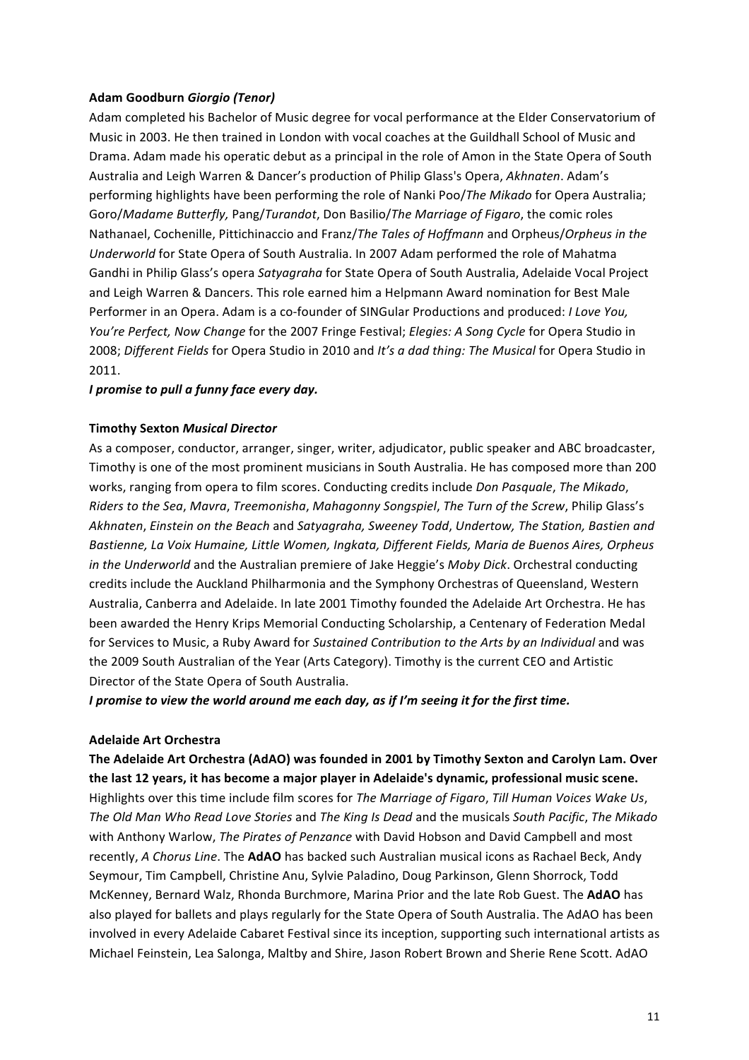#### **Adam\$Goodburn** *Giorgio!(Tenor)*

Adam completed his Bachelor of Music degree for vocal performance at the Elder Conservatorium of Music in 2003. He then trained in London with vocal coaches at the Guildhall School of Music and Drama. Adam made his operatic debut as a principal in the role of Amon in the State Opera of South Australia and Leigh Warren & Dancer's production of Philip Glass's Opera, Akhnaten. Adam's performing highlights have been performing the role of Nanki Poo/*The Mikado* for Opera Australia; Goro/*Madame Butterfly, Pang/Turandot*, Don Basilio/*The Marriage of Figaro*, the comic roles Nathanael, Cochenille, Pittichinaccio and Franz/*The Tales of Hoffmann* and Orpheus/Orpheus in the *Underworld* for State Opera of South Australia. In 2007 Adam performed the role of Mahatma Gandhi in Philip Glass's opera *Satyagraha* for State Opera of South Australia, Adelaide Vocal Project and Leigh Warren & Dancers. This role earned him a Helpmann Award nomination for Best Male Performer in an Opera. Adam is a co-founder of SINGular Productions and produced: *I Love You, You're Perfect, Now Change* for the 2007 Fringe Festival; *Elegies: A Song Cycle* for Opera Studio in 2008; *Different Fields* for Opera Studio in 2010 and It's a dad thing: The Musical for Opera Studio in 2011.

#### *I promise to pull a funny face every day.*

#### **Timothy\$Sexton\$***Musical!Director*

As a composer, conductor, arranger, singer, writer, adjudicator, public speaker and ABC broadcaster, Timothy is one of the most prominent musicians in South Australia. He has composed more than 200 works, ranging from opera to film scores. Conducting credits include *Don Pasquale*, The Mikado, *Riders\$to\$the\$Sea*,"*Mavra*,"*Treemonisha*,"*Mahagonny\$Songspiel*,"*The\$Turn\$of\$the\$Screw*,"Philip"Glass's" *Akhnaten*,"*Einstein\$on\$the\$Beach\$*and *Satyagraha,\$Sweeney\$Todd*,"*Undertow,\$The\$Station,\$Bastien\$and\$* Bastienne, La Voix Humaine, Little Women, Ingkata, Different Fields, Maria de Buenos Aires, Orpheus *in the Underworld* and the Australian premiere of Jake Heggie's Moby Dick. Orchestral conducting credits include the Auckland Philharmonia and the Symphony Orchestras of Queensland, Western Australia, Canberra and Adelaide. In late 2001 Timothy founded the Adelaide Art Orchestra. He has been awarded the Henry Krips Memorial Conducting Scholarship, a Centenary of Federation Medal for Services to Music, a Ruby Award for *Sustained Contribution to the Arts by an Individual* and was the 2009 South Australian of the Year (Arts Category). Timothy is the current CEO and Artistic Director of the State Opera of South Australia.

*I promise to view the world around me each day, as if I'm seeing it for the first time.* 

#### **Adelaide\$Art\$Orchestra**

The Adelaide Art Orchestra (AdAO) was founded in 2001 by Timothy Sexton and Carolyn Lam. Over the last 12 years, it has become a major player in Adelaide's dynamic, professional music scene. Highlights over this time include film scores for The Marriage of Figaro, Till Human Voices Wake Us, *The\$Old\$Man\$Who\$Read\$Love\$Stories* and"*The\$King\$Is\$Dead* and"the"musicals"*South\$Pacific*,"*The\$Mikado* with Anthony Warlow, The Pirates of Penzance with David Hobson and David Campbell and most recently, A Chorus Line. The AdAO has backed such Australian musical icons as Rachael Beck, Andy Seymour, Tim Campbell, Christine Anu, Sylvie Paladino, Doug Parkinson, Glenn Shorrock, Todd McKenney, Bernard Walz, Rhonda Burchmore, Marina Prior and the late Rob Guest. The AdAO has also played for ballets and plays regularly for the State Opera of South Australia. The AdAO has been involved in every Adelaide Cabaret Festival since its inception, supporting such international artists as Michael Feinstein, Lea Salonga, Maltby and Shire, Jason Robert Brown and Sherie Rene Scott. AdAO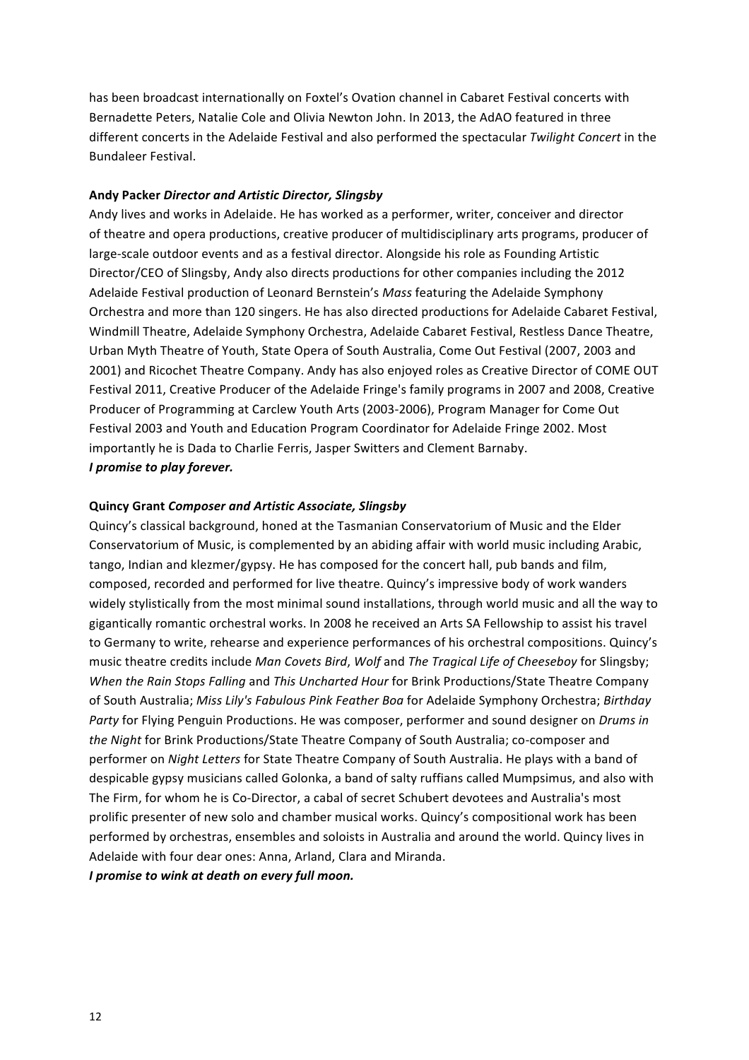has been broadcast internationally on Foxtel's Ovation channel in Cabaret Festival concerts with Bernadette Peters, Natalie Cole and Olivia Newton John. In 2013, the AdAO featured in three different concerts in the Adelaide Festival and also performed the spectacular *Twilight Concert* in the Bundaleer Festival.

#### **Andy\$Packer\$***Director!and!Artistic!Director,!Slingsby!*

Andy lives and works in Adelaide. He has worked as a performer, writer, conceiver and director of theatre and opera productions, creative producer of multidisciplinary arts programs, producer of large-scale outdoor events and as a festival director. Alongside his role as Founding Artistic Director/CEO of Slingsby, Andy also directs productions for other companies including the 2012 Adelaide Festival production of Leonard Bernstein's *Mass* featuring the Adelaide Symphony Orchestra and more than 120 singers. He has also directed productions for Adelaide Cabaret Festival, Windmill Theatre, Adelaide Symphony Orchestra, Adelaide Cabaret Festival, Restless Dance Theatre, Urban Myth Theatre of Youth, State Opera of South Australia, Come Out Festival (2007, 2003 and 2001) and Ricochet Theatre Company. Andy has also enjoyed roles as Creative Director of COME OUT Festival 2011, Creative Producer of the Adelaide Fringe's family programs in 2007 and 2008, Creative Producer of Programming at Carclew Youth Arts (2003-2006), Program Manager for Come Out Festival 2003 and Youth and Education Program Coordinator for Adelaide Fringe 2002. Most importantly he is Dada to Charlie Ferris, Jasper Switters and Clement Barnaby. *I promise to play forever.* 

#### **Quincy\$Grant\$***Composer!and!Artistic!Associate,!Slingsby*

Quincy's classical background, honed at the Tasmanian Conservatorium of Music and the Elder Conservatorium of Music, is complemented by an abiding affair with world music including Arabic, tango, Indian and klezmer/gypsy. He has composed for the concert hall, pub bands and film, composed, recorded and performed for live theatre. Quincy's impressive body of work wanders widely stylistically from the most minimal sound installations, through world music and all the way to gigantically romantic orchestral works. In 2008 he received an Arts SA Fellowship to assist his travel to Germany to write, rehearse and experience performances of his orchestral compositions. Quincy's music theatre credits include *Man Covets Bird, Wolf* and The Tragical Life of Cheeseboy for Slingsby; *When the Rain Stops Falling and This Uncharted Hour for Brink Productions/State Theatre Company* of South Australia; Miss Lily's Fabulous Pink Feather Boa for Adelaide Symphony Orchestra; Birthday Party for Flying Penguin Productions. He was composer, performer and sound designer on *Drums in* the Night for Brink Productions/State Theatre Company of South Australia; co-composer and performer on *Night Letters* for State Theatre Company of South Australia. He plays with a band of despicable gypsy musicians called Golonka, a band of salty ruffians called Mumpsimus, and also with The Firm, for whom he is Co-Director, a cabal of secret Schubert devotees and Australia's most prolific presenter of new solo and chamber musical works. Quincy's compositional work has been performed by orchestras, ensembles and soloists in Australia and around the world. Quincy lives in Adelaide with four dear ones: Anna, Arland, Clara and Miranda. *I promise to wink at death on every full moon.*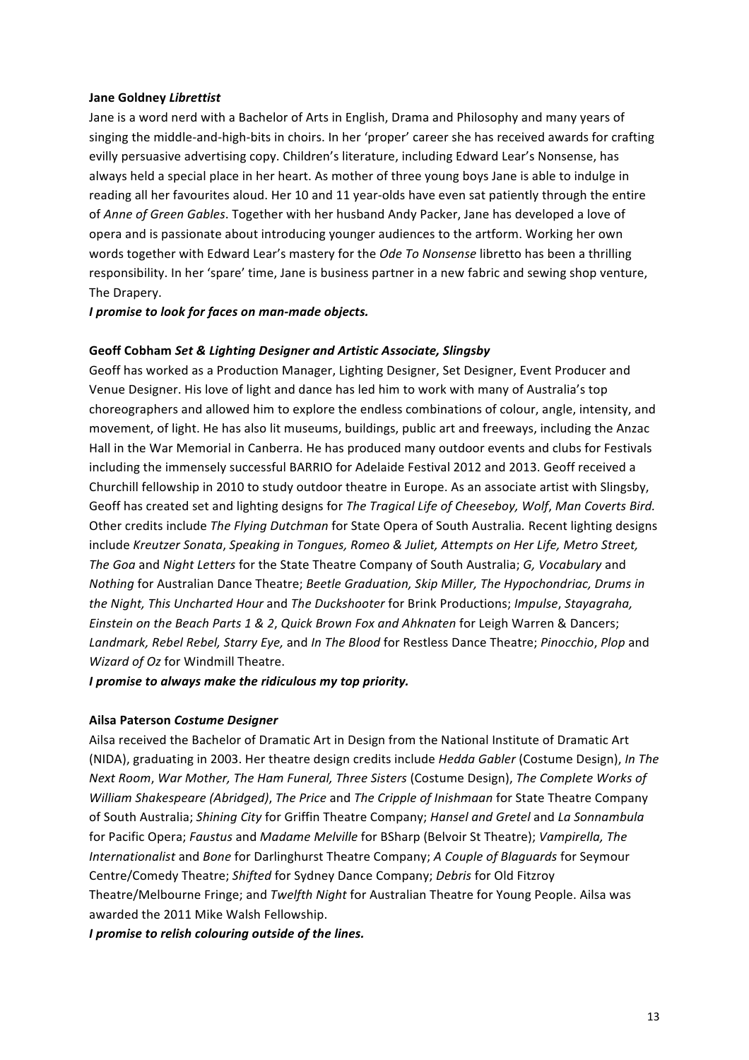#### **Jane\$Goldney\$***Librettist*

Jane is a word nerd with a Bachelor of Arts in English, Drama and Philosophy and many years of singing the middle-and-high-bits in choirs. In her 'proper' career she has received awards for crafting evilly persuasive advertising copy. Children's literature, including Edward Lear's Nonsense, has always held a special place in her heart. As mother of three young boys Jane is able to indulge in reading all her favourites aloud. Her 10 and 11 year-olds have even sat patiently through the entire of *Anne of Green Gables*. Together with her husband Andy Packer, Jane has developed a love of opera and is passionate about introducing younger audiences to the artform. Working her own words together with Edward Lear's mastery for the *Ode To Nonsense* libretto has been a thrilling responsibility. In her 'spare' time, Jane is business partner in a new fabric and sewing shop venture, The Drapery.

*I promise to look for faces on man-made objects.* 

#### **Geoff Cobham Set & Lighting Designer and Artistic Associate, Slingsby**

Geoff has worked as a Production Manager, Lighting Designer, Set Designer, Event Producer and Venue Designer. His love of light and dance has led him to work with many of Australia's top choreographers and allowed him to explore the endless combinations of colour, angle, intensity, and movement, of light. He has also lit museums, buildings, public art and freeways, including the Anzac Hall in the War Memorial in Canberra. He has produced many outdoor events and clubs for Festivals including the immensely successful BARRIO for Adelaide Festival 2012 and 2013. Geoff received a Churchill fellowship in 2010 to study outdoor theatre in Europe. As an associate artist with Slingsby, Geoff has created set and lighting designs for The Tragical Life of Cheeseboy, Wolf, Man Coverts Bird. Other credits include *The Flying Dutchman* for State Opera of South Australia. Recent lighting designs include *Kreutzer Sonata*, *Speaking in Tongues, Romeo & Juliet, Attempts on Her Life, Metro Street, The Goa* and *Night Letters* for the State Theatre Company of South Australia; *G, Vocabulary* and *Nothing* for Australian Dance Theatre; Beetle Graduation, Skip Miller, The Hypochondriac, Drums in *the\$Night,\$This\$Uncharted\$Hour* and"*The\$Duckshooter\$*for"Brink"Productions;"*Impulse*,"*Stayagraha,\$ Einstein on the Beach Parts 1 & 2, Quick Brown Fox and Ahknaten for Leigh Warren & Dancers; Landmark,\$Rebel\$Rebel,\$Starry\$Eye,\$*and *In\$The\$Blood* for"Restless"Dance"Theatre;"*Pinocchio*,"*Plop\$*and" *Wizard of Oz* for Windmill Theatre.

*I promise to always make the ridiculous my top priority.* 

#### **Ailsa\$Paterson\$***Costume!Designer*

Ailsa received the Bachelor of Dramatic Art in Design from the National Institute of Dramatic Art (NIDA), graduating in 2003. Her theatre design credits include *Hedda Gabler* (Costume Design), *In The Next Room, War Mother, The Ham Funeral, Three Sisters* (Costume Design), *The Complete Works of William Shakespeare (Abridged), The Price* and *The Cripple of Inishmaan* for State Theatre Company of"South"Australia;"*Shining\$City\$*for"Griffin"Theatre"Company;"*Hansel\$and\$Gretel\$*and"*La\$Sonnambula\$* for Pacific Opera; *Faustus* and *Madame Melville* for BSharp (Belvoir St Theatre); *Vampirella, The Internationalist* and *Bone* for Darlinghurst Theatre Company; *A Couple of Blaguards* for Seymour Centre/Comedy"Theatre;"*Shifted\$*for"Sydney"Dance"Company;"*Debris\$*for"Old"Fitzroy" Theatre/Melbourne Fringe; and *Twelfth Night* for Australian Theatre for Young People. Ailsa was awarded the 2011 Mike Walsh Fellowship.

*I promise to relish colouring outside of the lines.*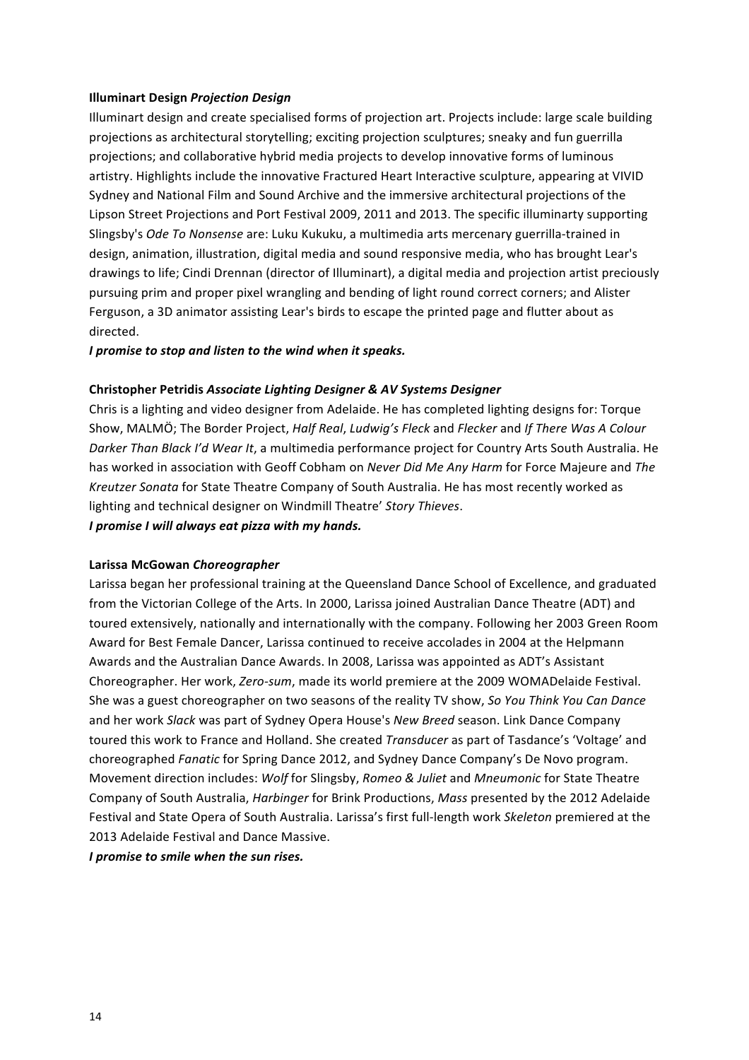#### **Illuminart\$Design\$***Projection!Design*

Illuminart design and create specialised forms of projection art. Projects include: large scale building projections as architectural storytelling; exciting projection sculptures; sneaky and fun guerrilla projections; and collaborative hybrid media projects to develop innovative forms of luminous artistry. Highlights include the innovative Fractured Heart Interactive sculpture, appearing at VIVID Sydney and National Film and Sound Archive and the immersive architectural projections of the Lipson Street Projections and Port Festival 2009, 2011 and 2013. The specific illuminarty supporting Slingsby's Ode To Nonsense are: Luku Kukuku, a multimedia arts mercenary guerrilla-trained in design, animation, illustration, digital media and sound responsive media, who has brought Lear's drawings to life; Cindi Drennan (director of Illuminart), a digital media and projection artist preciously pursuing prim and proper pixel wrangling and bending of light round correct corners; and Alister Ferguson, a 3D animator assisting Lear's birds to escape the printed page and flutter about as directed.

*I promise to stop and listen to the wind when it speaks.* 

#### **Christopher\$Petridis** *Associate!Lighting!Designer!&!AV!Systems!Designer*

Chris is a lighting and video designer from Adelaide. He has completed lighting designs for: Torque Show, MALMÖ; The Border Project, *Half Real*, *Ludwig's Fleck* and *Flecker* and *If There Was A Colour Darker Than Black I'd Wear It*, a multimedia performance project for Country Arts South Australia. He has worked in association with Geoff Cobham on *Never Did Me Any Harm* for Force Majeure and *The* Kreutzer Sonata for State Theatre Company of South Australia. He has most recently worked as lighting and technical designer on Windmill Theatre' Story Thieves.

*I promise I will always eat pizza with my hands.* 

#### **Larissa\$McGowan\$***Choreographer*

Larissa began her professional training at the Queensland Dance School of Excellence, and graduated from the Victorian College of the Arts. In 2000, Larissa joined Australian Dance Theatre (ADT) and toured extensively, nationally and internationally with the company. Following her 2003 Green Room Award for Best Female Dancer, Larissa continued to receive accolades in 2004 at the Helpmann Awards and the Australian Dance Awards. In 2008, Larissa was appointed as ADT's Assistant Choreographer. Her work, *Zero-sum*, made its world premiere at the 2009 WOMADelaide Festival. She was a guest choreographer on two seasons of the reality TV show, So You Think You Can Dance and her work *Slack* was part of Sydney Opera House's *New Breed* season. Link Dance Company toured this work to France and Holland. She created *Transducer* as part of Tasdance's 'Voltage' and choreographed *Fanatic* for Spring Dance 2012, and Sydney Dance Company's De Novo program. Movement direction includes: *Wolf* for Slingsby, Romeo & Juliet and Mneumonic for State Theatre Company of South Australia, *Harbinger* for Brink Productions, *Mass* presented by the 2012 Adelaide Festival and State Opera of South Australia. Larissa's first full-length work *Skeleton* premiered at the 2013 Adelaide Festival and Dance Massive.

*I promise to smile when the sun rises.*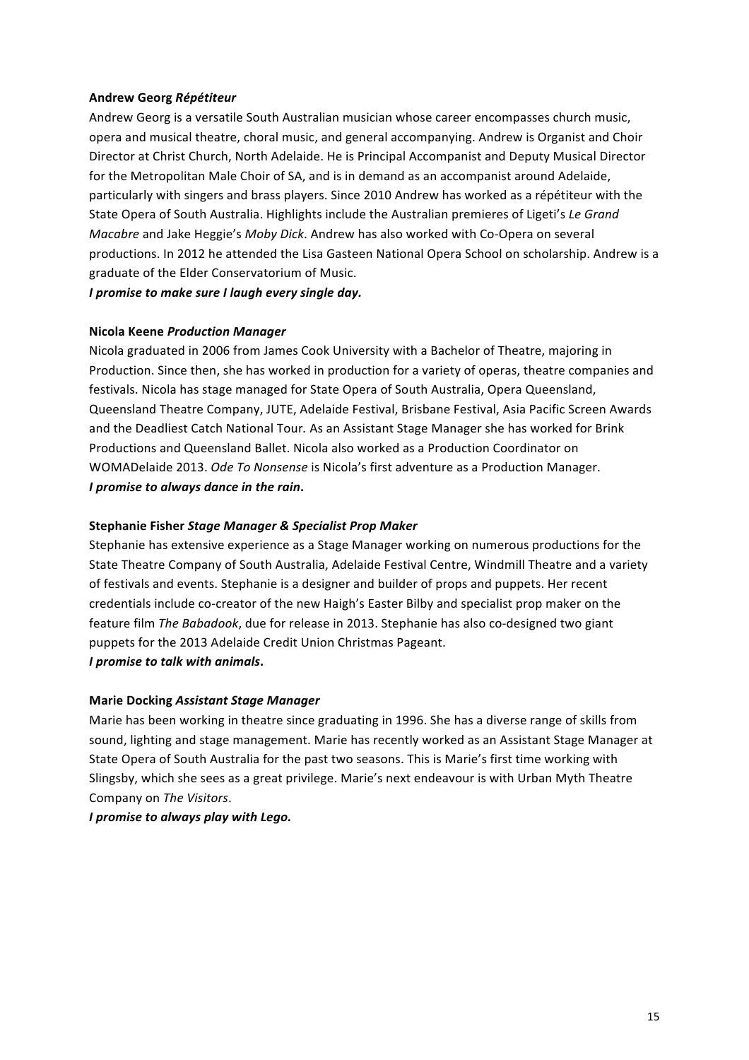#### **Andrew\$Georg\$***Répétiteur*

Andrew Georg is a versatile South Australian musician whose career encompasses church music, opera and musical theatre, choral music, and general accompanying. Andrew is Organist and Choir Director at Christ Church, North Adelaide. He is Principal Accompanist and Deputy Musical Director for the Metropolitan Male Choir of SA, and is in demand as an accompanist around Adelaide, particularly with singers and brass players. Since 2010 Andrew has worked as a répétiteur with the State Opera of South Australia. Highlights include the Australian premieres of Ligeti's Le Grand *Macabre* and Jake Heggie's *Moby Dick*. Andrew has also worked with Co-Opera on several productions. In 2012 he attended the Lisa Gasteen National Opera School on scholarship. Andrew is a graduate of the Elder Conservatorium of Music.

*I promise to make sure I laugh every single day.* 

#### **Nicola\$Keene\$***Production!Manager*

Nicola graduated in 2006 from James Cook University with a Bachelor of Theatre, majoring in Production. Since then, she has worked in production for a variety of operas, theatre companies and festivals. Nicola has stage managed for State Opera of South Australia, Opera Queensland, Queensland Theatre Company, JUTE, Adelaide Festival, Brisbane Festival, Asia Pacific Screen Awards and the Deadliest Catch National Tour. As an Assistant Stage Manager she has worked for Brink Productions and Queensland Ballet. Nicola also worked as a Production Coordinator on WOMADelaide 2013. Ode To Nonsense is Nicola's first adventure as a Production Manager. *I promise to always dance in the rain.* 

#### **Stephanie\$Fisher\$***Stage!Manager!&!Specialist!Prop!Maker*

Stephanie has extensive experience as a Stage Manager working on numerous productions for the State Theatre Company of South Australia, Adelaide Festival Centre, Windmill Theatre and a variety of festivals and events. Stephanie is a designer and builder of props and puppets. Her recent credentials include co-creator of the new Haigh's Easter Bilby and specialist prop maker on the feature film The Babadook, due for release in 2013. Stephanie has also co-designed two giant puppets for the 2013 Adelaide Credit Union Christmas Pageant. *I promise to talk with animals.* 

# **Marie\$Docking\$***Assistant!Stage!Manager*

Marie has been working in theatre since graduating in 1996. She has a diverse range of skills from sound, lighting and stage management. Marie has recently worked as an Assistant Stage Manager at State Opera of South Australia for the past two seasons. This is Marie's first time working with Slingsby, which she sees as a great privilege. Marie's next endeavour is with Urban Myth Theatre Company"on"*The\$Visitors*.

#### *I promise to always play with Lego.*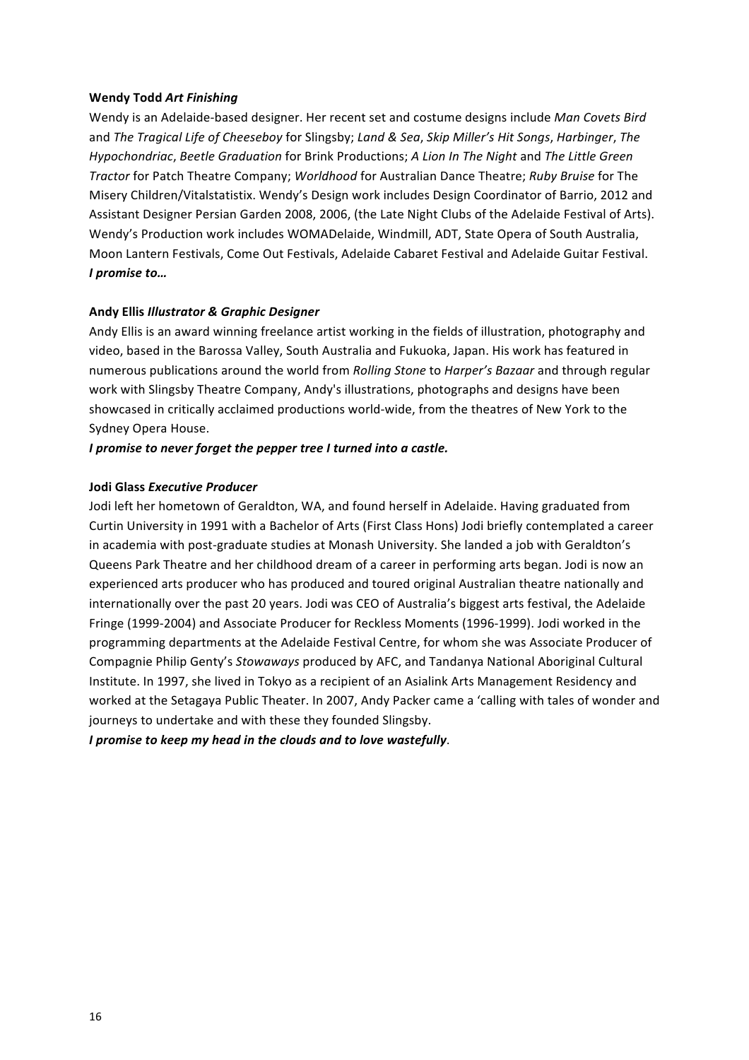#### **Wendy\$Todd\$***Art!Finishing*

Wendy is an Adelaide-based designer. Her recent set and costume designs include Man Covets Bird and"*The\$Tragical\$Life\$of\$Cheeseboy* for"Slingsby;"*Land\$&\$Sea*,"*Skip\$Miller's\$Hit\$Songs*,"*Harbinger*,"*The\$ Hypochondriac, Beetle Graduation* for Brink Productions; A Lion In The Night and The Little Green *Tractor* for Patch Theatre Company; *Worldhood* for Australian Dance Theatre; *Ruby Bruise* for The Misery Children/Vitalstatistix. Wendy's Design work includes Design Coordinator of Barrio, 2012 and Assistant Designer Persian Garden 2008, 2006, (the Late Night Clubs of the Adelaide Festival of Arts). Wendy's Production work includes WOMADelaide, Windmill, ADT, State Opera of South Australia, Moon Lantern Festivals, Come Out Festivals, Adelaide Cabaret Festival and Adelaide Guitar Festival. *I* promise to...

#### **Andy\$Ellis\$***Illustrator!&!Graphic!Designer*

Andy Ellis is an award winning freelance artist working in the fields of illustration, photography and video, based in the Barossa Valley, South Australia and Fukuoka, Japan. His work has featured in numerous publications around the world from *Rolling Stone* to *Harper's Bazaar* and through regular work with Slingsby Theatre Company, Andy's illustrations, photographs and designs have been showcased in critically acclaimed productions world-wide, from the theatres of New York to the Sydney Opera House.

*I promise to never forget the pepper tree I turned into a castle.* 

#### **Jodi\$Glass\$***Executive!Producer*

Jodi left her hometown of Geraldton, WA, and found herself in Adelaide. Having graduated from Curtin University in 1991 with a Bachelor of Arts (First Class Hons) Jodi briefly contemplated a career in academia with post-graduate studies at Monash University. She landed a job with Geraldton's Queens Park Theatre and her childhood dream of a career in performing arts began. Jodi is now an experienced arts producer who has produced and toured original Australian theatre nationally and internationally over the past 20 years. Jodi was CEO of Australia's biggest arts festival, the Adelaide Fringe (1999-2004) and Associate Producer for Reckless Moments (1996-1999). Jodi worked in the programming departments at the Adelaide Festival Centre, for whom she was Associate Producer of Compagnie Philip Genty's *Stowaways* produced by AFC, and Tandanya National Aboriginal Cultural Institute. In 1997, she lived in Tokyo as a recipient of an Asialink Arts Management Residency and worked at the Setagaya Public Theater. In 2007, Andy Packer came a 'calling with tales of wonder and journeys to undertake and with these they founded Slingsby.

*I promise to keep my head in the clouds and to love wastefully.*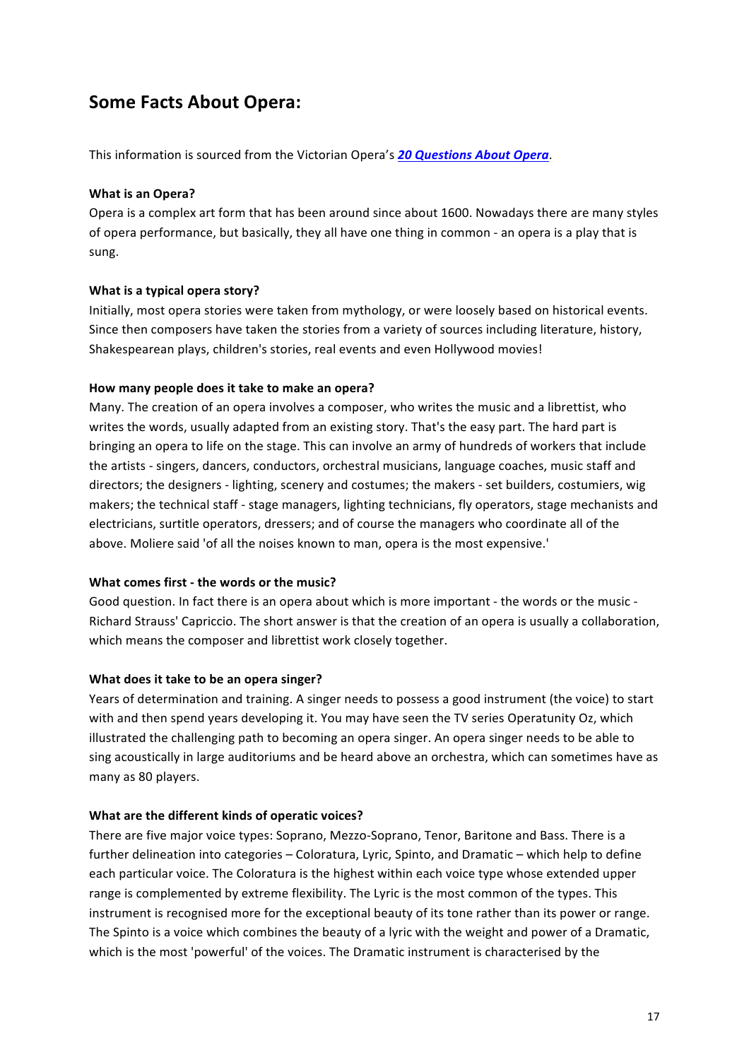# **Some Facts About Opera:**

This information is sourced from the Victorian Opera's 20 Questions About Opera.

#### **What is an Opera?**

Opera is a complex art form that has been around since about 1600. Nowadays there are many styles of opera performance, but basically, they all have one thing in common - an opera is a play that is sung.

#### **What is a typical opera story?**

Initially, most opera stories were taken from mythology, or were loosely based on historical events. Since then composers have taken the stories from a variety of sources including literature, history, Shakespearean plays, children's stories, real events and even Hollywood movies!

#### How many people does it take to make an opera?

Many. The creation of an opera involves a composer, who writes the music and a librettist, who writes the words, usually adapted from an existing story. That's the easy part. The hard part is bringing an opera to life on the stage. This can involve an army of hundreds of workers that include the artists - singers, dancers, conductors, orchestral musicians, language coaches, music staff and directors; the designers - lighting, scenery and costumes; the makers - set builders, costumiers, wig makers; the technical staff - stage managers, lighting technicians, fly operators, stage mechanists and electricians, surtitle operators, dressers; and of course the managers who coordinate all of the above. Moliere said 'of all the noises known to man, opera is the most expensive.'

#### **What comes first - the words or the music?**

Good question. In fact there is an opera about which is more important - the words or the music -Richard Strauss' Capriccio. The short answer is that the creation of an opera is usually a collaboration, which means the composer and librettist work closely together.

#### **What does it take to be an opera singer?**

Years of determination and training. A singer needs to possess a good instrument (the voice) to start with and then spend years developing it. You may have seen the TV series Operatunity Oz, which illustrated the challenging path to becoming an opera singer. An opera singer needs to be able to sing acoustically in large auditoriums and be heard above an orchestra, which can sometimes have as many as 80 players.

#### **What are the different kinds of operatic voices?**

There are five major voice types: Soprano, Mezzo-Soprano, Tenor, Baritone and Bass. There is a further delineation into categories – Coloratura, Lyric, Spinto, and Dramatic – which help to define each particular voice. The Coloratura is the highest within each voice type whose extended upper range is complemented by extreme flexibility. The Lyric is the most common of the types. This instrument is recognised more for the exceptional beauty of its tone rather than its power or range. The Spinto is a voice which combines the beauty of a lyric with the weight and power of a Dramatic, which is the most 'powerful' of the voices. The Dramatic instrument is characterised by the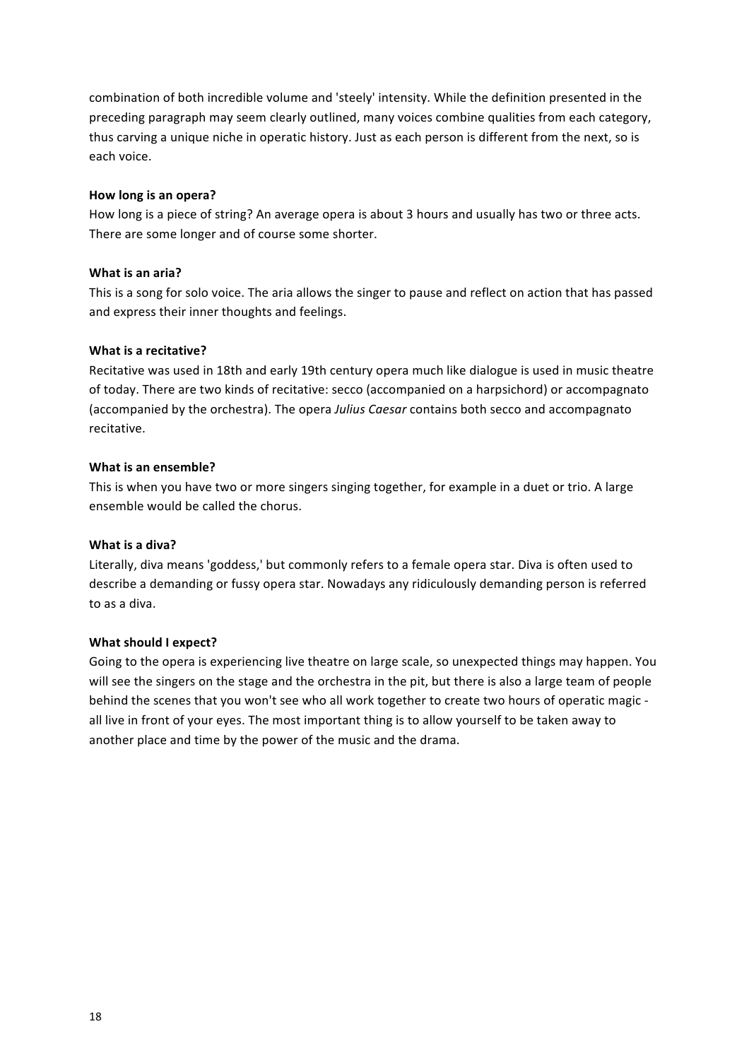combination of both incredible volume and 'steely' intensity. While the definition presented in the preceding paragraph may seem clearly outlined, many voices combine qualities from each category, thus carving a unique niche in operatic history. Just as each person is different from the next, so is each voice.

#### **How long is an opera?**

How long is a piece of string? An average opera is about 3 hours and usually has two or three acts. There are some longer and of course some shorter.

#### **What is an aria?**

This is a song for solo voice. The aria allows the singer to pause and reflect on action that has passed and express their inner thoughts and feelings.

#### **What is a recitative?**

Recitative was used in 18th and early 19th century opera much like dialogue is used in music theatre of today. There are two kinds of recitative: secco (accompanied on a harpsichord) or accompagnato (accompanied by the orchestra). The opera *Julius Caesar* contains both secco and accompagnato recitative.

#### **What is an ensemble?**

This is when you have two or more singers singing together, for example in a duet or trio. A large ensemble would be called the chorus.

#### **What is a diva?**

Literally, diva means 'goddess,' but commonly refers to a female opera star. Diva is often used to describe a demanding or fussy opera star. Nowadays any ridiculously demanding person is referred to as a diva.

#### **What should I expect?**

Going to the opera is experiencing live theatre on large scale, so unexpected things may happen. You will see the singers on the stage and the orchestra in the pit, but there is also a large team of people behind the scenes that you won't see who all work together to create two hours of operatic magic all live in front of your eyes. The most important thing is to allow yourself to be taken away to another place and time by the power of the music and the drama.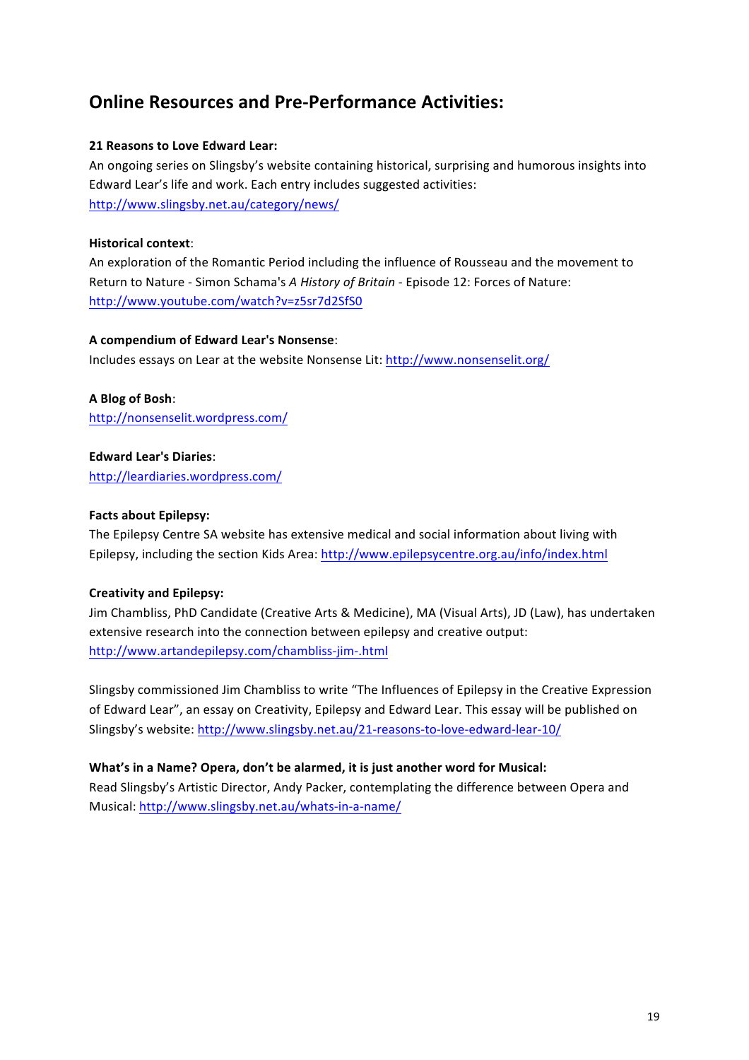# **Online Resources and Pre-Performance Activities:**

#### **21 Reasons to Love Edward Lear:**

An ongoing series on Slingsby's website containing historical, surprising and humorous insights into Edward Lear's life and work. Each entry includes suggested activities: http://www.slingsby.net.au/category/news/

#### **Historical context:**

An exploration of the Romantic Period including the influence of Rousseau and the movement to Return to Nature - Simon Schama's *A History of Britain* - Episode 12: Forces of Nature: http://www.youtube.com/watch?v=z5sr7d2SfS0

#### A compendium of Edward Lear's Nonsense:

Includes essays on Lear at the website Nonsense Lit: http://www.nonsenselit.org/

A Blog of Bosh: http://nonsenselit.wordpress.com/

**Edward Lear's Diaries:** http://leardiaries.wordpress.com/

#### **Facts about Epilepsy:**

The Epilepsy Centre SA website has extensive medical and social information about living with Epilepsy, including the section Kids Area: http://www.epilepsycentre.org.au/info/index.html

#### **Creativity and Epilepsy:**

Jim Chambliss, PhD Candidate (Creative Arts & Medicine), MA (Visual Arts), JD (Law), has undertaken extensive research into the connection between epilepsy and creative output: http://www.artandepilepsy.com/chambliss-jim-.html

Slingsby commissioned Jim Chambliss to write "The Influences of Epilepsy in the Creative Expression of Edward Lear", an essay on Creativity, Epilepsy and Edward Lear. This essay will be published on Slingsby's website: http://www.slingsby.net.au/21-reasons-to-love-edward-lear-10/

#### **What's in a Name? Opera, don't be alarmed, it is just another word for Musical:**

Read Slingsby's Artistic Director, Andy Packer, contemplating the difference between Opera and Musical: http://www.slingsby.net.au/whats-in-a-name/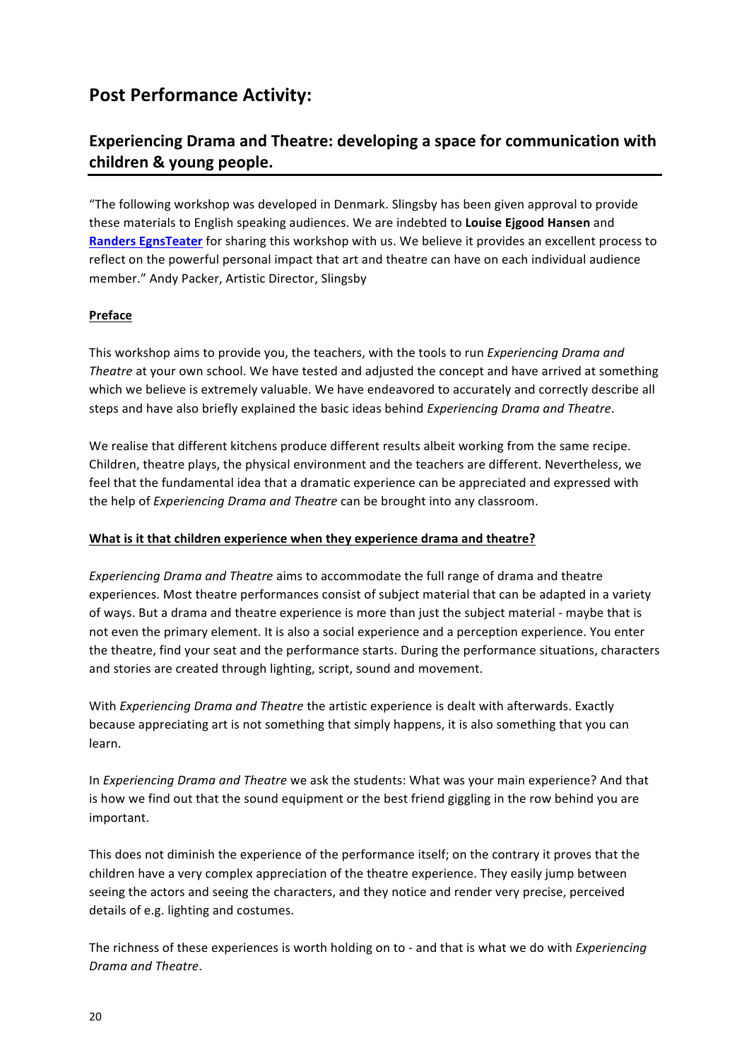# **Post Performance Activity:**

### **Experiencing Drama and Theatre: developing a space for communication with** children & young people.

"The following workshop was developed in Denmark. Slingsby has been given approval to provide these materials to English speaking audiences. We are indebted to **Louise Ejgood Hansen** and Randers EgnsTeater for sharing this workshop with us. We believe it provides an excellent process to reflect on the powerful personal impact that art and theatre can have on each individual audience member." Andy Packer, Artistic Director, Slingsby

#### **Preface**

This workshop aims to provide you, the teachers, with the tools to run *Experiencing Drama and Theatre* at your own school. We have tested and adjusted the concept and have arrived at something which we believe is extremely valuable. We have endeavored to accurately and correctly describe all steps and have also briefly explained the basic ideas behind *Experiencing Drama and Theatre*.

We realise that different kitchens produce different results albeit working from the same recipe. Children, theatre plays, the physical environment and the teachers are different. Nevertheless, we feel that the fundamental idea that a dramatic experience can be appreciated and expressed with the help of *Experiencing Drama and Theatre* can be brought into any classroom.

#### **What is it that children experience when they experience drama and theatre?**

*Experiencing Drama and Theatre* aims to accommodate the full range of drama and theatre experiences. Most theatre performances consist of subject material that can be adapted in a variety of ways. But a drama and theatre experience is more than just the subject material - maybe that is not even the primary element. It is also a social experience and a perception experience. You enter the theatre, find your seat and the performance starts. During the performance situations, characters and stories are created through lighting, script, sound and movement.

With *Experiencing Drama and Theatre* the artistic experience is dealt with afterwards. Exactly because appreciating art is not something that simply happens, it is also something that you can learn.

In *Experiencing Drama and Theatre* we ask the students: What was your main experience? And that is how we find out that the sound equipment or the best friend giggling in the row behind you are important.

This does not diminish the experience of the performance itself; on the contrary it proves that the children have a very complex appreciation of the theatre experience. They easily jump between seeing the actors and seeing the characters, and they notice and render very precise, perceived details of e.g. lighting and costumes.

The richness of these experiences is worth holding on to - and that is what we do with *Experiencing Drama and\$Theatre*.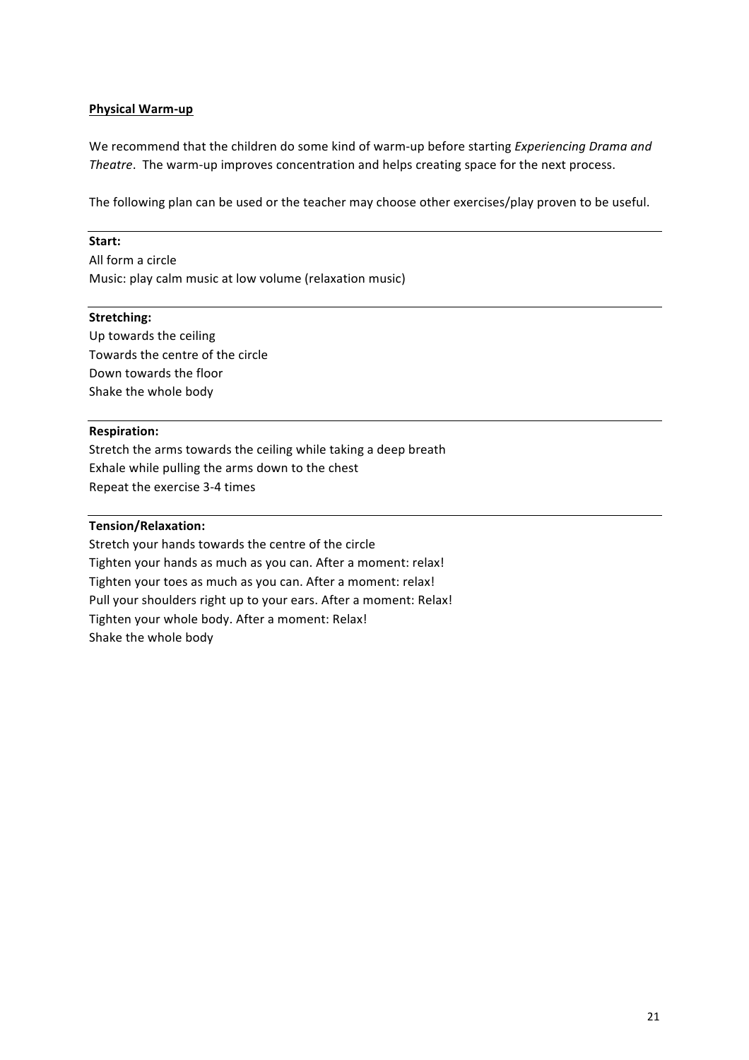#### **Physical Warm-up**

We recommend that the children do some kind of warm-up before starting *Experiencing Drama and Theatre*. The warm-up improves concentration and helps creating space for the next process.

The following plan can be used or the teacher may choose other exercises/play proven to be useful.

#### **Start:**

All form a circle Music: play calm music at low volume (relaxation music)

#### **Stretching:**

Up towards the ceiling Towards the centre of the circle Down towards the floor Shake the whole body

#### **Respiration:**

Stretch the arms towards the ceiling while taking a deep breath Exhale while pulling the arms down to the chest Repeat the exercise 3-4 times

#### **Tension/Relaxation:**

Stretch your hands towards the centre of the circle Tighten your hands as much as you can. After a moment: relax! Tighten your toes as much as you can. After a moment: relax! Pull your shoulders right up to your ears. After a moment: Relax! Tighten your whole body. After a moment: Relax! Shake the whole body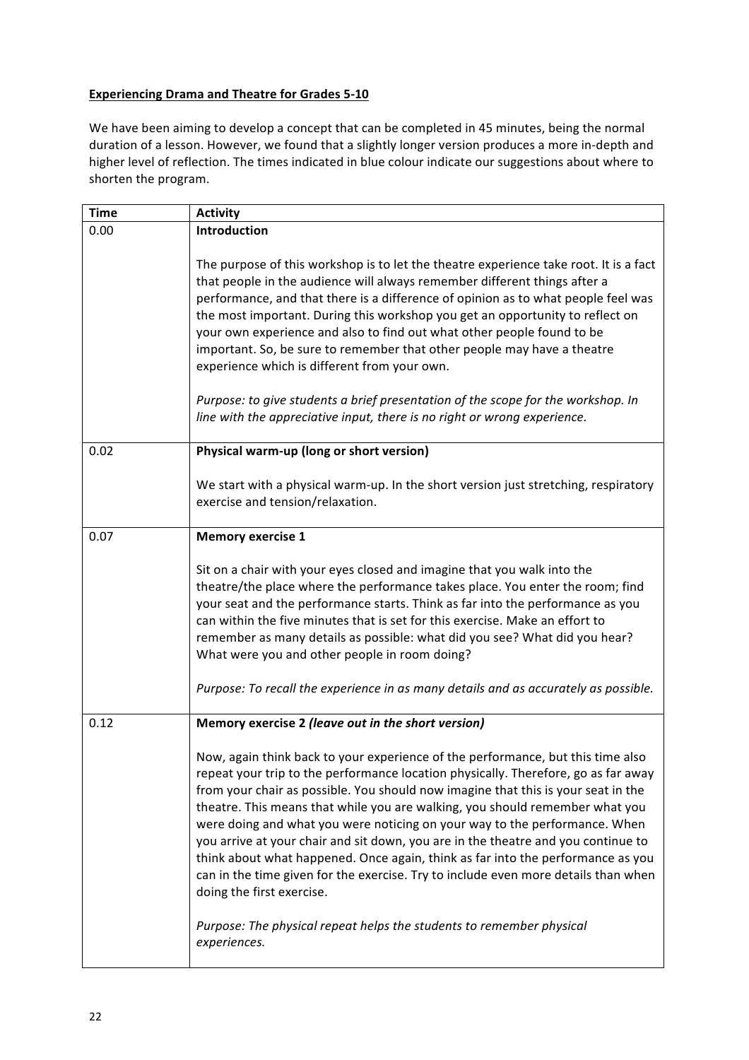#### **Experiencing Drama and Theatre for Grades 5-10**

We have been aiming to develop a concept that can be completed in 45 minutes, being the normal duration of a lesson. However, we found that a slightly longer version produces a more in-depth and higher level of reflection. The times indicated in blue colour indicate our suggestions about where to shorten the program.

| <b>Time</b> | <b>Activity</b>                                                                                                                                                                                                                                                                                                                                                                                                                                                                                                                                                                                                                                                                                                     |
|-------------|---------------------------------------------------------------------------------------------------------------------------------------------------------------------------------------------------------------------------------------------------------------------------------------------------------------------------------------------------------------------------------------------------------------------------------------------------------------------------------------------------------------------------------------------------------------------------------------------------------------------------------------------------------------------------------------------------------------------|
| 0.00        | Introduction                                                                                                                                                                                                                                                                                                                                                                                                                                                                                                                                                                                                                                                                                                        |
|             | The purpose of this workshop is to let the theatre experience take root. It is a fact<br>that people in the audience will always remember different things after a<br>performance, and that there is a difference of opinion as to what people feel was<br>the most important. During this workshop you get an opportunity to reflect on<br>your own experience and also to find out what other people found to be<br>important. So, be sure to remember that other people may have a theatre<br>experience which is different from your own.<br>Purpose: to give students a brief presentation of the scope for the workshop. In<br>line with the appreciative input, there is no right or wrong experience.       |
| 0.02        | Physical warm-up (long or short version)                                                                                                                                                                                                                                                                                                                                                                                                                                                                                                                                                                                                                                                                            |
|             | We start with a physical warm-up. In the short version just stretching, respiratory<br>exercise and tension/relaxation.                                                                                                                                                                                                                                                                                                                                                                                                                                                                                                                                                                                             |
| 0.07        | <b>Memory exercise 1</b>                                                                                                                                                                                                                                                                                                                                                                                                                                                                                                                                                                                                                                                                                            |
|             | Sit on a chair with your eyes closed and imagine that you walk into the<br>theatre/the place where the performance takes place. You enter the room; find<br>your seat and the performance starts. Think as far into the performance as you<br>can within the five minutes that is set for this exercise. Make an effort to<br>remember as many details as possible: what did you see? What did you hear?<br>What were you and other people in room doing?<br>Purpose: To recall the experience in as many details and as accurately as possible.                                                                                                                                                                    |
| 0.12        | Memory exercise 2 (leave out in the short version)                                                                                                                                                                                                                                                                                                                                                                                                                                                                                                                                                                                                                                                                  |
|             | Now, again think back to your experience of the performance, but this time also<br>repeat your trip to the performance location physically. Therefore, go as far away<br>from your chair as possible. You should now imagine that this is your seat in the<br>theatre. This means that while you are walking, you should remember what you<br>were doing and what you were noticing on your way to the performance. When<br>you arrive at your chair and sit down, you are in the theatre and you continue to<br>think about what happened. Once again, think as far into the performance as you<br>can in the time given for the exercise. Try to include even more details than when<br>doing the first exercise. |
|             | Purpose: The physical repeat helps the students to remember physical<br>experiences.                                                                                                                                                                                                                                                                                                                                                                                                                                                                                                                                                                                                                                |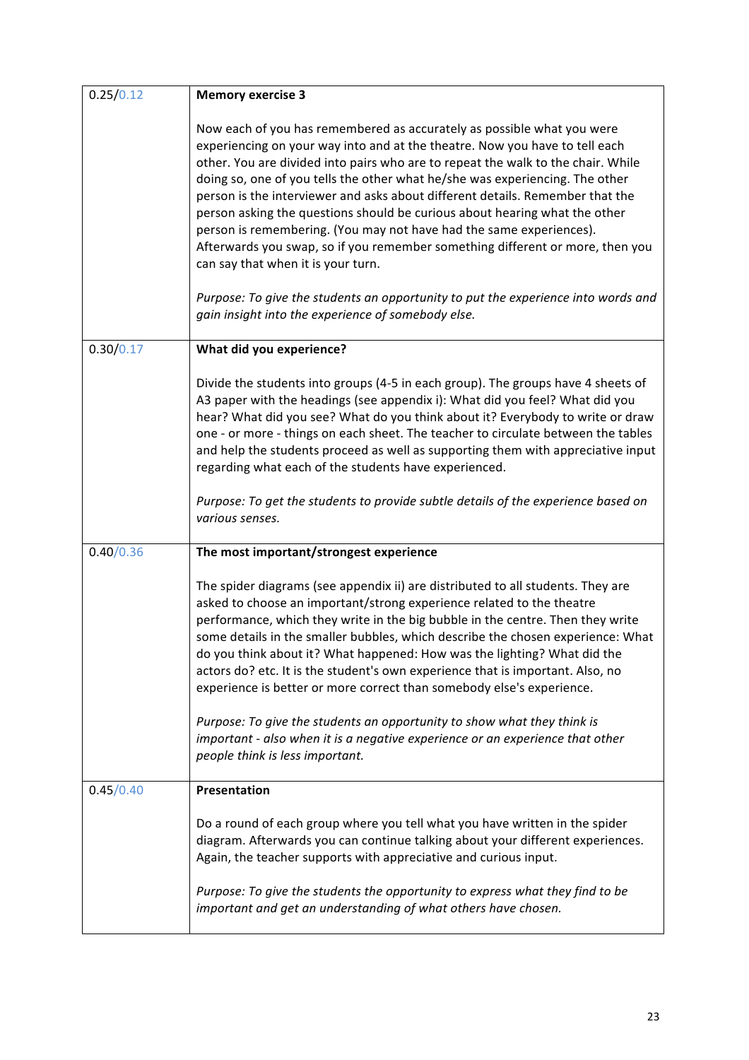| 0.25/0.12 | <b>Memory exercise 3</b>                                                                                                                                                                                                                                                                                                                                                                                                                                                                                                                                                                                                                                                               |
|-----------|----------------------------------------------------------------------------------------------------------------------------------------------------------------------------------------------------------------------------------------------------------------------------------------------------------------------------------------------------------------------------------------------------------------------------------------------------------------------------------------------------------------------------------------------------------------------------------------------------------------------------------------------------------------------------------------|
|           | Now each of you has remembered as accurately as possible what you were<br>experiencing on your way into and at the theatre. Now you have to tell each<br>other. You are divided into pairs who are to repeat the walk to the chair. While<br>doing so, one of you tells the other what he/she was experiencing. The other<br>person is the interviewer and asks about different details. Remember that the<br>person asking the questions should be curious about hearing what the other<br>person is remembering. (You may not have had the same experiences).<br>Afterwards you swap, so if you remember something different or more, then you<br>can say that when it is your turn. |
|           | Purpose: To give the students an opportunity to put the experience into words and<br>gain insight into the experience of somebody else.                                                                                                                                                                                                                                                                                                                                                                                                                                                                                                                                                |
| 0.30/0.17 | What did you experience?                                                                                                                                                                                                                                                                                                                                                                                                                                                                                                                                                                                                                                                               |
|           | Divide the students into groups (4-5 in each group). The groups have 4 sheets of<br>A3 paper with the headings (see appendix i): What did you feel? What did you<br>hear? What did you see? What do you think about it? Everybody to write or draw<br>one - or more - things on each sheet. The teacher to circulate between the tables<br>and help the students proceed as well as supporting them with appreciative input<br>regarding what each of the students have experienced.                                                                                                                                                                                                   |
|           | Purpose: To get the students to provide subtle details of the experience based on<br>various senses.                                                                                                                                                                                                                                                                                                                                                                                                                                                                                                                                                                                   |
| 0.40/0.36 | The most important/strongest experience                                                                                                                                                                                                                                                                                                                                                                                                                                                                                                                                                                                                                                                |
|           | The spider diagrams (see appendix ii) are distributed to all students. They are<br>asked to choose an important/strong experience related to the theatre<br>performance, which they write in the big bubble in the centre. Then they write<br>some details in the smaller bubbles, which describe the chosen experience: What<br>do you think about it? What happened: How was the lighting? What did the<br>actors do? etc. It is the student's own experience that is important. Also, no<br>experience is better or more correct than somebody else's experience.                                                                                                                   |
|           | Purpose: To give the students an opportunity to show what they think is<br>important - also when it is a negative experience or an experience that other<br>people think is less important.                                                                                                                                                                                                                                                                                                                                                                                                                                                                                            |
| 0.45/0.40 | Presentation                                                                                                                                                                                                                                                                                                                                                                                                                                                                                                                                                                                                                                                                           |
|           | Do a round of each group where you tell what you have written in the spider<br>diagram. Afterwards you can continue talking about your different experiences.<br>Again, the teacher supports with appreciative and curious input.                                                                                                                                                                                                                                                                                                                                                                                                                                                      |
|           | Purpose: To give the students the opportunity to express what they find to be<br>important and get an understanding of what others have chosen.                                                                                                                                                                                                                                                                                                                                                                                                                                                                                                                                        |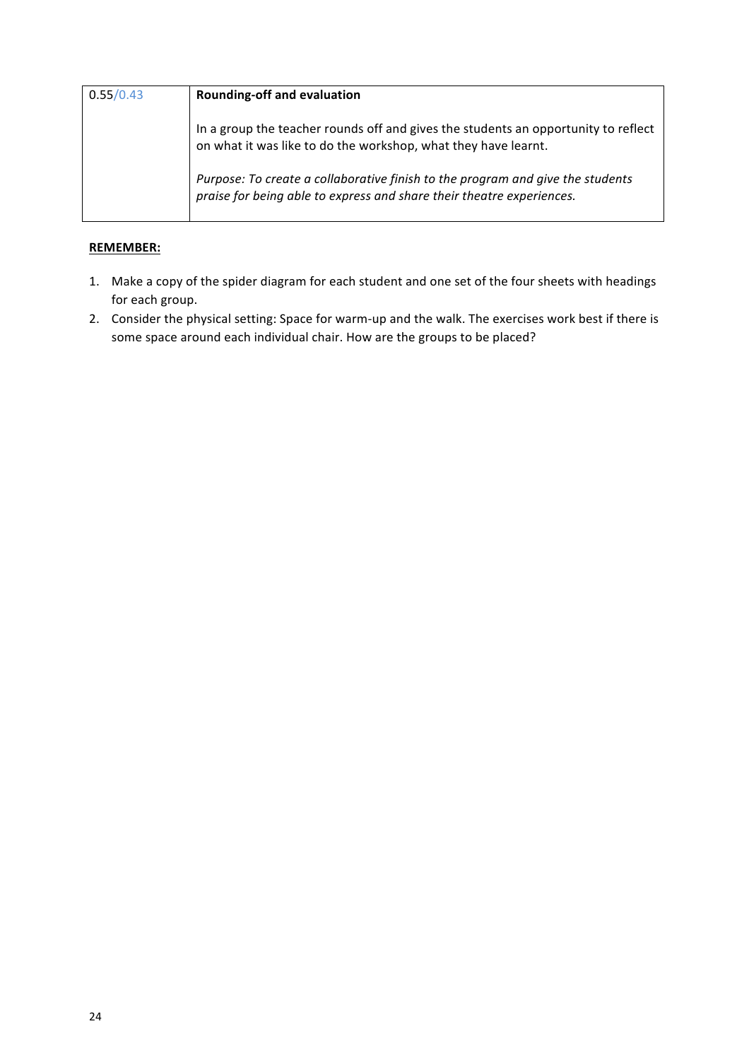| 0.55/0.43 | <b>Rounding-off and evaluation</b>                                                                                                                      |
|-----------|---------------------------------------------------------------------------------------------------------------------------------------------------------|
|           | In a group the teacher rounds off and gives the students an opportunity to reflect<br>on what it was like to do the workshop, what they have learnt.    |
|           | Purpose: To create a collaborative finish to the program and give the students<br>praise for being able to express and share their theatre experiences. |

#### **REMEMBER:**

- 1. Make a copy of the spider diagram for each student and one set of the four sheets with headings for each group.
- 2. Consider the physical setting: Space for warm-up and the walk. The exercises work best if there is some space around each individual chair. How are the groups to be placed?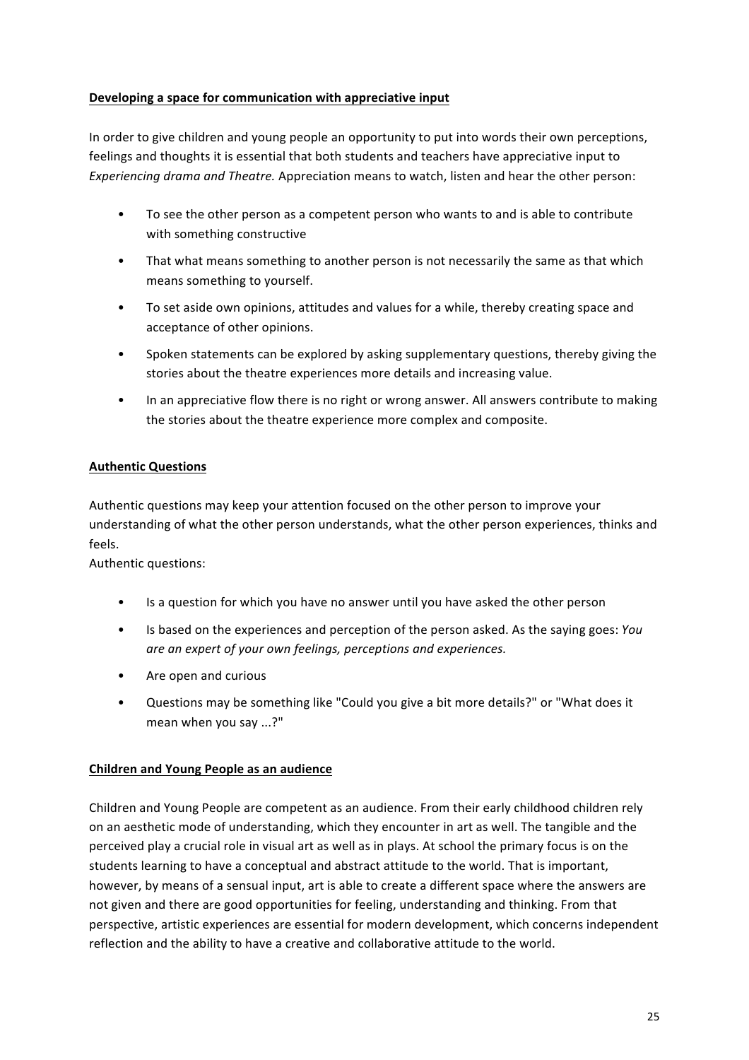#### **Developing a space for communication with appreciative input**

In order to give children and young people an opportunity to put into words their own perceptions, feelings and thoughts it is essential that both students and teachers have appreciative input to *Experiencing drama and Theatre.* Appreciation means to watch, listen and hear the other person:

- To see the other person as a competent person who wants to and is able to contribute with something constructive
- That what means something to another person is not necessarily the same as that which means something to yourself.
- To set aside own opinions, attitudes and values for a while, thereby creating space and acceptance of other opinions.
- Spoken statements can be explored by asking supplementary questions, thereby giving the stories about the theatre experiences more details and increasing value.
- In an appreciative flow there is no right or wrong answer. All answers contribute to making the stories about the theatre experience more complex and composite.

#### **Authentic\$Questions**

Authentic questions may keep your attention focused on the other person to improve your understanding of what the other person understands, what the other person experiences, thinks and feels.

Authentic questions:

- Is a question for which you have no answer until you have asked the other person
- Is based on the experiences and perception of the person asked. As the saying goes: You are an expert of your own feelings, perceptions and experiences.
- Are open and curious
- Questions may be something like "Could you give a bit more details?" or "What does it mean when you say ...?"

#### **Children and Young People as an audience**

Children and Young People are competent as an audience. From their early childhood children rely on an aesthetic mode of understanding, which they encounter in art as well. The tangible and the perceived play a crucial role in visual art as well as in plays. At school the primary focus is on the students learning to have a conceptual and abstract attitude to the world. That is important, however, by means of a sensual input, art is able to create a different space where the answers are not given and there are good opportunities for feeling, understanding and thinking. From that perspective, artistic experiences are essential for modern development, which concerns independent reflection and the ability to have a creative and collaborative attitude to the world.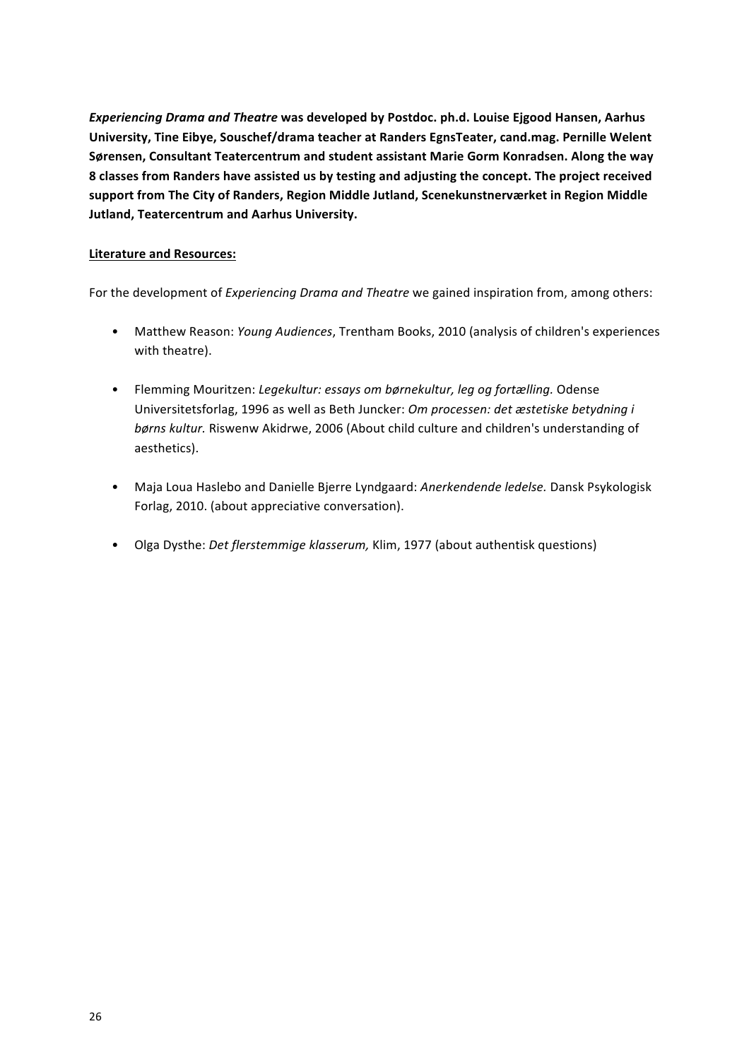*Experiencing Drama and Theatre was developed by Postdoc. ph.d. Louise Ejgood Hansen, Aarhus* **University, Tine Eibye, Souschef/drama teacher at Randers EgnsTeater, cand.mag. Pernille Welent** Sørensen, Consultant Teatercentrum and student assistant Marie Gorm Konradsen. Along the way **8 classes from Randers have assisted us by testing and adjusting the concept. The project received** support from The City of Randers, Region Middle Jutland, Scenekunstnerværket in Region Middle **Jutland, Teatercentrum and Aarhus University.** 

#### **Literature and\$Resources:**

For the development of *Experiencing Drama and Theatre* we gained inspiration from, among others:

- Matthew Reason: *Young Audiences*, Trentham Books, 2010 (analysis of children's experiences with theatre).
- Flemming Mouritzen: Legekultur: essays om børnekultur, leg og fortælling. Odense Universitetsforlag, 1996 as well as Beth Juncker: Om processen: det æstetiske betydning i børns kultur. Riswenw Akidrwe, 2006 (About child culture and children's understanding of aesthetics).
- Maja Loua Haslebo and Danielle Bjerre Lyndgaard: Anerkendende ledelse. Dansk Psykologisk Forlag, 2010. (about appreciative conversation).
- Olga Dysthe: *Det flerstemmige klasserum,* Klim, 1977 (about authentisk questions)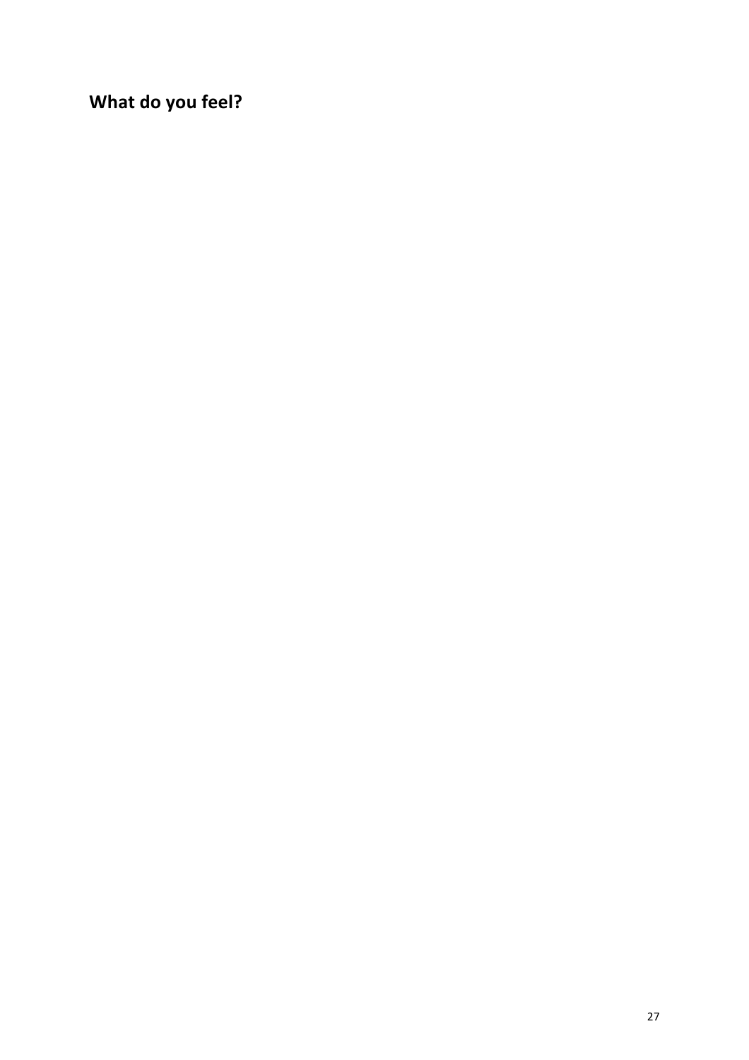**What do you feel?**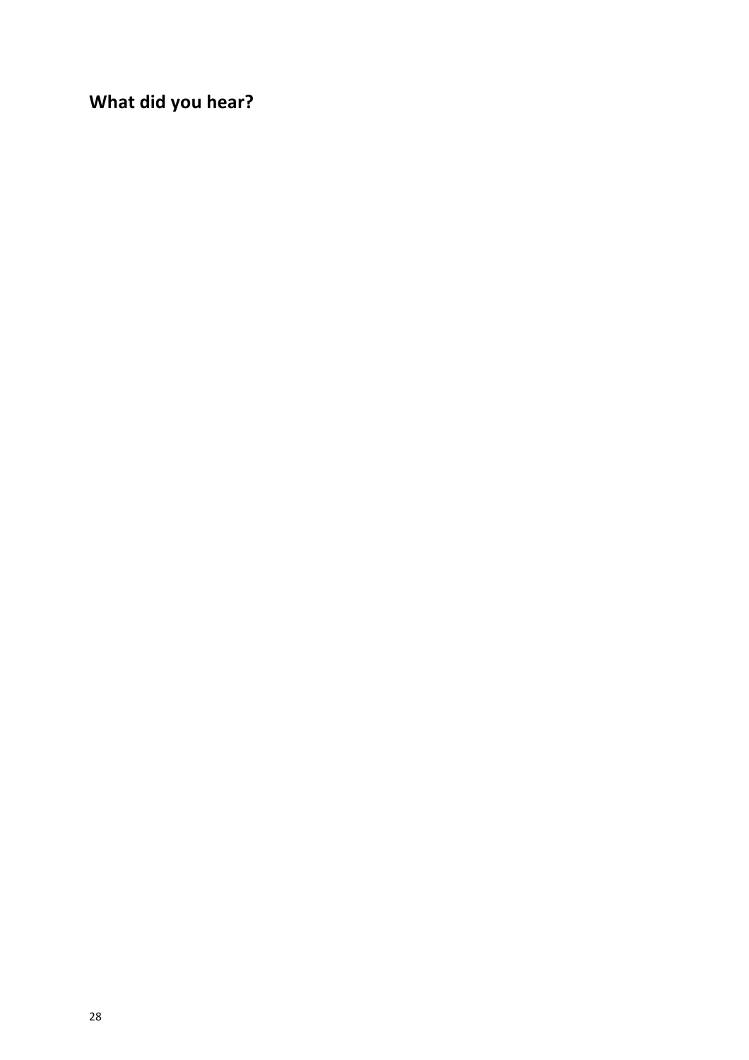**What did you hear?**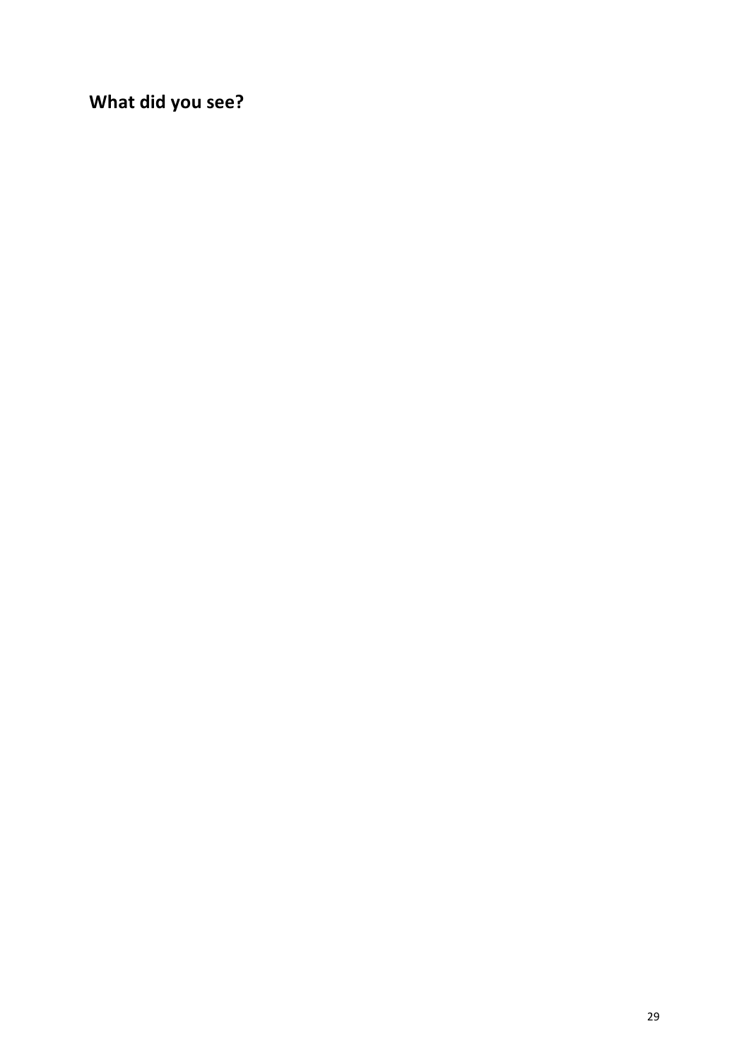**What did you see?**